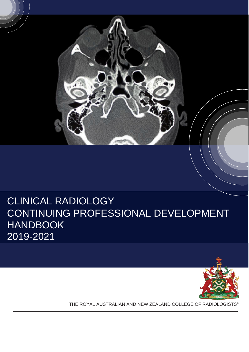

# CLINICAL RADIOLOGY CONTINUING PROFESSIONAL DEVELOPMENT HANDBOOK 2019-2021



THE ROYAL AUSTRALIAN AND NEW ZEALAND COLLEGE OF RADIOLOGISTS®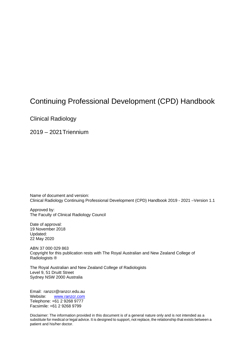## Continuing Professional Development (CPD) Handbook

Clinical Radiology

2019 – 2021Triennium

Name of document and version: Clinical Radiology Continuing Professional Development (CPD) Handbook 2019 - 2021 –Version 1.1

Approved by: The Faculty of Clinical Radiology Council

Date of approval: 19 November 2018 Updated: 22 May 2020

ABN 37 000 029 863 Copyright for this publication rests with The Royal Australian and New Zealand College of Radiologists ®

The Royal Australian and New Zealand College of Radiologists Level 9, 51 Druitt Street Sydney NSW 2000 Australia

Email: [ranzcr@ranzcr.edu.au](mailto:ranzcr@ranzcr.edu.au) Website: [www.ranzcr.com](http://www.ranzcr.com/) Telephone: +61 2 9268 9777 Facsimile: +61 2 9268 9799

Disclaimer: The information provided in this document is of a general nature only and is not intended as a substitute for medical or legal advice. It is designed to support, not replace, the relationship that exists between a patient and his/her doctor.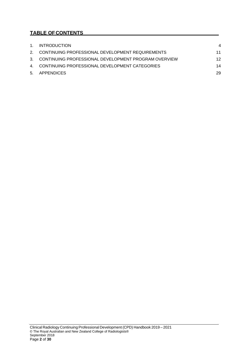## **TABLE OFCONTENTS**

| 1. INTRODUCTION                                         | 4  |
|---------------------------------------------------------|----|
| 2. CONTINUING PROFESSIONAL DEVELOPMENT REQUIREMENTS     | 11 |
| 3. CONTINUING PROFESSIONAL DEVELOPMENT PROGRAM OVERVIEW | 12 |
| 4. CONTINUING PROFESSIONAL DEVELOPMENT CATEGORIES       | 14 |
| 5. APPENDICES                                           | 29 |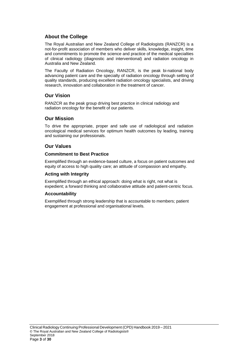## **About the College**

The Royal Australian and New Zealand College of Radiologists (RANZCR) is a not-for-profit association of members who deliver skills, knowledge, insight, time and commitments to promote the science and practice of the medical specialties of clinical radiology (diagnostic and interventional) and radiation oncology in Australia and New Zealand.

The Faculty of Radiation Oncology, RANZCR, is the peak bi-national body advancing patient care and the specialty of radiation oncology through setting of quality standards, producing excellent radiation oncology specialists, and driving research, innovation and collaboration in the treatment of cancer.

## **Our Vision**

RANZCR as the peak group driving best practice in clinical radiology and radiation oncology for the benefit of our patients.

## **Our Mission**

To drive the appropriate, proper and safe use of radiological and radiation oncological medical services for optimum health outcomes by leading, training and sustaining our professionals.

## **Our Values**

### **Commitment to Best Practice**

Exemplified through an evidence-based culture, a focus on patient outcomes and equity of access to high quality care; an attitude of compassion and empathy.

## **Acting with Integrity**

Exemplified through an ethical approach: doing what is right, not what is expedient; a forward thinking and collaborative attitude and patient-centric focus.

#### **Accountability**

Exemplified through strong leadership that is accountable to members; patient engagement at professional and organisational levels.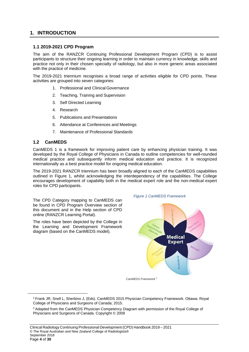## <span id="page-4-0"></span>**1. INTRODUCTION**

### **1.1 2019-2021 CPD Program**

The aim of the RANZCR Continuing Professional Development Program (CPD) is to assist participants to structure their ongoing learning in order to maintain currency in knowledge, skills and practice not only in their chosen specialty of radiology, but also in more generic areas associated with the practice of medicine.

The 2019-2021 triennium recognises a broad range of activities eligible for CPD points. These activities are grouped into seven categories:

- 1. Professional and Clinical Governance
- 2. Teaching, Training and Supervision
- 3. Self Directed Learning
- 4. Research
- 5. Publications and Presentations
- 6. Attendance at Conferences and Meetings
- 7. Maintenance of Professional Standards

### **1.2 CanMEDS**

CanMEDS 1 is a framework for improving patient care by enhancing physician training. It was developed by the Royal College of Physicians in Canada to outline competencies for well-rounded medical practice and subsequently inform medical education and practice. It is recognized internationally as a best practice model for ongoing medical education.

The 2019-2021 RANZCR triennium has been broadly aligned to each of the CanMEDS capabilities outlined in Figure 1, whilst acknowledging the interdependency of the capabilities. The College encourages development of capability both in the medical expert role and the non-medical expert roles for CPD participants.

The CPD Category mapping to CanMEDS can be found in CPD Program Overview section of this document and in the Help section of CPD online (RANZCR Learning Portal).

The roles have been depicted by the College in the Learning and Development Framework diagram (based on the CanMEDS model).





*CanMEDS Framework 2*

<sup>1</sup> Frank JR, Snell L, Sherbino J, (Eds). CanMEDS 2015 Physician Competency Framework. Ottawa: Royal College of Physicians and Surgeons of Canada; 2015.

<sup>&</sup>lt;sup>2</sup> Adapted from the CanMEDS Physician Competency Diagram with permission of the Royal College of Physicians and Surgeons of Canada. Copyright © 2009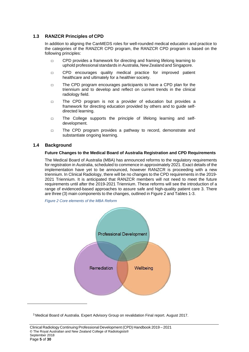## **1.3 RANZCR Principles of CPD**

In addition to aligning the CanMEDS roles for well-rounded medical education and practice to the categories of the RANZCR CPD program, the RANZCR CPD program is based on the following principles:

- □ CPD provides a framework for directing and framing lifelong learning to uphold professional standards in Australia, New Zealand and Singapore.
- □ CPD encourages quality medical practice for improved patient healthcare and ultimately for a healthier society.
- □ The CPD program encourages participants to have a CPD plan for the triennium and to develop and reflect on current trends in the clinical radiology field.
- □ The CPD program is not a provider of education but provides a framework for directing education provided by others and to guide selfdirected learning.
- □ The College supports the principle of lifelong learning and selfdevelopment.
- □ The CPD program provides a pathway to record, demonstrate and substantiate ongoing learning.

### **1.4 Background**

### **Future Changes to the Medical Board of Australia Registration and CPD Requirements**

The Medical Board of Australia (MBA) has announced reforms to the regulatory requirements for registration in Australia, scheduled to commence in approximately 2021. Exact details of the implementation have yet to be announced, however RANZCR is proceeding with a new triennium. In Clinical Radiology, there will be no changes to the CPD requirements in the 2019- 2021 Triennium. It is anticipated that RANZCR members will not need to meet the future requirements until after the 2019-2021 Triennium. These reforms will see the introduction of a range of evidenced-based approaches to assure safe and high-quality patient care 3. There are three (3) main components to the changes, outlined in Figure 2 and Tables 1-3.

*Figure 2 Core elements of the MBA Reform*



<sup>3</sup> Medical Board of Australia. Expert Advisory Group on revalidation Final report. August 2017.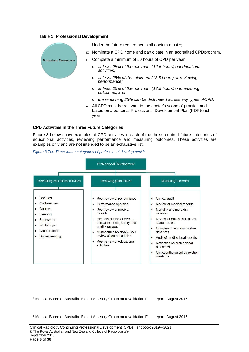#### **Table 1: Professional Development**



- o *at least 25% of the minimum (12.5 hours) onmeasuring outcomes; and*
- o *the remaining 25% can be distributed across any types ofCPD.*
- All CPD must be relevant to the doctor's scope of practice and based on a personal Professional Development Plan (PDP)each year

#### **CPD Activities in the Three Future Categories**

Figure 3 below show examples of CPD activities in each of the three required future categories of educational activities, reviewing performance and measuring outcomes. These activities are examples only and are not intended to be an exhaustive list.

*Figure 3 The Three future categories of professional development <sup>5</sup>*



4 Medical Board of Australia. Expert Advisory Group on revalidation Final report. August 2017.

5 Medical Board of Australia. Expert Advisory Group on revalidation Final report. August 2017.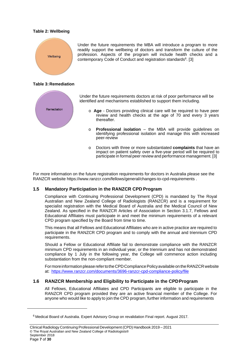#### **Table 2: Wellbeing**



**Table 3: Remediation**



Under the future requirements doctors at risk of poor performance will be identified and mechanisms established to support them including.

Under the future requirements the MBA will introduce a program to more readily support the wellbeing of doctors and transform the culture of the profession. Aspects of the program will include health checks and a

contemporary Code of Conduct and registration standards<sup>6</sup>. [3]

- o **Age**  Doctors providing clinical care will be required to have peer review and health checks at the age of 70 and every 3 years thereafter.
- o **Professional isolation**  the MBA will provide guidelines on identifying professional isolation and manage this with increased peer-review
- o Doctors with three or more substantiated **complaints** that have an impact on patient safety over a five-year period will be required to participate in formal peer review and performance management. [3]

For more information on the future registration requirements for doctors in Australia please see the RANZCR website http[s://www.ranzcr.com/fellows/general/changes-to-cpd-requirements .](http://www.ranzcr.com/fellows/general/changes-to-cpd-requirements)

## **1.5 Mandatory Participation in the RANZCR CPD Program**

Compliance with Continuing Professional Development (CPD) is mandated by The Royal Australian and New Zealand College of Radiologists (RANZCR) and is a requirement for specialist registration with the Medical Board of Australia and the Medical Council of New Zealand. As specified in the RANZCR Articles of Association in Section 3.1.7, Fellows and Educational Affiliates must participate in and meet the minimum requirements of a relevant CPD program specified by the Board from time to time.

This means that all Fellows and Educational Affiliates who are in active practice are required to participate in the RANZCR CPD program and to comply with the annual and triennium CPD requirements.

Should a Fellow or Educational Affiliate fail to demonstrate compliance with the RANZCR minimum CPD requirements in an individual year, or the triennium and has not demonstrated compliance by 1 July in the following year, the College will commence action including substantiation from the non-compliant member.

For more information please refer to the CPD Compliance Policy available on the RANZCR website at: <https://www.ranzcr.com/documents/3696-ranzcr-cpd-compliance-policy/file>

## **1.6 RANZCR Membership and Eligibility to Participate in the CPDProgram**

All Fellows, Educational Affiliates and CPD Participants are eligible to participate in the RANZCR CPD program provided they are an active financial member of the College. For anyone who would like to apply to join the CPD program, further information and requirements

<sup>6</sup> Medical Board of Australia. Expert Advisory Group on revalidation Final report. August 2017.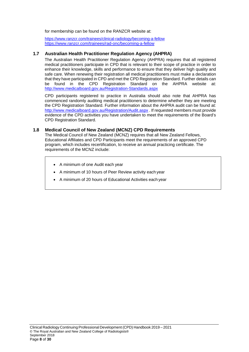for membership can be found on the RANZCR website at:

<https://www.ranzcr.com/trainees/clinical-radiology/becoming-a-fellow> <https://www.ranzcr.com/trainees/rad-onc/becoming-a-fellow>

### **1.7 Australian Health Practitioner Regulation Agency (AHPRA)**

The Australian Health Practitioner Regulation Agency (AHPRA) requires that all registered medical practitioners participate in CPD that is relevant to their scope of practice in order to enhance their knowledge, skills and performance to ensure that they deliver high quality and safe care. When renewing their registration all medical practitioners must make a declaration that they have participated in CPD and met the CPD Registration Standard. Further details can be found in the CPD Registration Standard on the AHPRA website at: <http://www.medicalboard.gov.au/Registration-Standards.aspx>

CPD participants registered to practice in Australia should also note that AHPRA has commenced randomly auditing medical practitioners to determine whether they are meeting the CPD Registration Standard. Further information about the AHPRA audit can be found at: <http://www.medicalboard.gov.au/Registration/Audit.aspx> . If requested members must provide evidence of the CPD activities you have undertaken to meet the requirements of the Board's CPD Registration Standard.

### **1.8 Medical Council of New Zealand (MCNZ) CPD Requirements**

The Medical Council of New Zealand (MCNZ) requires that all New Zealand Fellows, Educational Affiliates and CPD Participants meet the requirements of an approved CPD program, which includes recertification, to receive an annual practicing certificate. The requirements of the MCNZ include:

- A minimum of one Audit each year
- A minimum of 10 hours of Peer Review activity each year
- A minimum of 20 hours of Educational Activities each year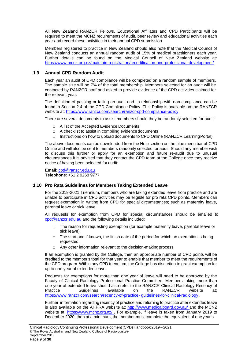All New Zealand RANZCR Fellows, Educational Affiliates and CPD Participants will be required to meet the MCNZ requirements of audit, peer review and educational activities each year and record these activities in their annual CPD submission.

Members registered to practice in New Zealand should also note that the Medical Council of New Zealand conducts an annual random audit of 15% of medical practitioners each year. Further details can be found on the Medical Council of New Zealand website at: <https://www.mcnz.org.nz/maintain-registration/recertification-and-professional-development/>

## **1.9 Annual CPD Random Audit**

Each year an audit of CPD compliance will be completed on a random sample of members. The sample size will be 7% of the total membership. Members selected for an audit will be contacted by RANZCR staff and asked to provide evidence of the CPD activities claimed for the relevant year.

The definition of passing or failing an audit and its relationship with non-compliance can be found in Section 2.4 of the CPD Compliance Policy. This Policy is available on the RANZCR website at: http[s://www.ranzcr.com/search/ranzcr-cpd-compliance-policy](http://www.ranzcr.com/search/ranzcr-cpd-compliance-policy)

There are several documents to assist members should they be randomly selected for audit:

- □ A list of the Accepted Evidence Documents
- $\Box$  A checklist to assist in compiling evidence documents
- $\Box$  Instructions on how to upload documents to CPD Online (RANZCR Learning Portal)

The above documents can be downloaded from the Help section on the blue menu bar of CPD Online and will also be sent to members randomly selected for audit. Should any member wish to discuss this further or apply for an exemption and future re-audit due to unusual circumstances it is advised that they contact the CPD team at the College once they receive notice of having been selected for audit:

**Email**: [cpd@ranzcr.edu.au](mailto:cpd@ranzcr.edu.au) **Telephone**: +61 2 9268 9777

#### **1.10 Pro Rata Guidelines for Members Taking Extended Leave**

For the 2019-2021 Triennium, members who are taking extended leave from practice and are unable to participate in CPD activities may be eligible for pro rata CPD points. Members can request exemption in writing from CPD for special circumstances; such as maternity leave, parental leave or sick leave.

All requests for exemption from CPD for special circumstances should be emailed to [cpd@ranzcr.edu.au a](mailto:cpd@ranzcr.edu.au)nd the following details included:

- $\Box$  The reason for requesting exemption (for example maternity leave, parental leave or sick leave).
- $\Box$  The start and if known, the finish date of the period for which an exemption is being requested.
- □ Any other information relevant to the decision-making process.

If an exemption is granted by the College, then an appropriate number of CPD points will be credited to the member's total for that year to enable that member to meet the requirements of the CPD program. Within any CPD triennium, the College has discretion to grant exemption for up to one year of extended leave.

Requests for exemptions for more than one year of leave will need to be approved by the Facuty of Clinical Radiology Professional Practice Committee. Members taking more than one year of extended leave should also refer to the RANZCR Clinical Radiology Recency of<br>Practice Cuidelines available on the RANZCR website at: Practice Guidelines available on the RANZCR website [at:](https://www.ranzcr.com/search/recency-of-practice-guidelines-for-clinical-radiology) [https://www.ranzcr.com/search/recency-of-practice-](https://www.ranzcr.com/search/recency-of-practice-guidelines-for-clinical-radiology) [guidelines-for-clinical-radiology](https://www.ranzcr.com/search/recency-of-practice-guidelines-for-clinical-radiology) .

Further information regarding recency of practice and returning to practice after extended leave is also available on the AHPRA website at: [http://www.medicalboard.gov.au/ a](http://www.medicalboard.gov.au/)nd the MCNZ website at: [https://www.mcnz.org.nz/ .](https://www.mcnz.org.nz/) For example, if leave is taken from January 2019 to December 2020, then at a minimum, the member must complete the equivalent of oneyear's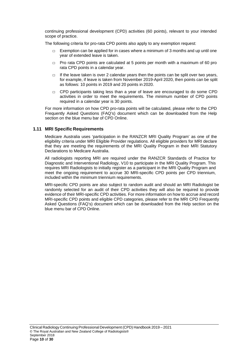continuing professional development (CPD) activities (60 points), relevant to your intended scope of practice.

The following criteria for pro-rata CPD points also apply to any exemption request:

- $\Box$  Exemption can be applied for in cases where a minimum of 3 months and up until one year of extended leave is taken.
- □ Pro rata CPD points are calculated at 5 points per month with a maximum of 60 pro rata CPD points in a calendar year.
- $\Box$  If the leave taken is over 2 calendar years then the points can be split over two years, for example, if leave is taken from November 2019-April 2020, then points can be split as follows: 10 points in 2019 and 20 points in 2020.
- $\Box$  CPD participants taking less than a year of leave are encouraged to do some CPD activities in order to meet the requirements. The minimum number of CPD points required in a calendar year is 30 points.

For more information on how CPD pro-rata points will be calculated, please refer to the CPD Frequently Asked Questions (FAQ's) document which can be downloaded from the Help section on the blue menu bar of CPD Online.

### **1.11 MRI Specific Requirements**

Medicare Australia uses 'participation in the RANZCR MRI Quality Program' as one of the eligibility criteria under MRI Eligible Provider regulations. All eligible providers for MRI declare that they are meeting the requirements of the MRI Quality Program in their MRI Statutory Declarations to Medicare Australia.

All radiologists reporting MRI are required under the RANZCR Standards of Practice for Diagnostic and Interventional Radiology, V10 to participate in the MRI Quality Program. This requires MRI Radiologists to initially register as a participant in the MRI Quality Program and meet the ongoing requirement to accrue 30 MRI-specific CPD points per CPD triennium, included within the minimum triennium requirements.

MRI-specific CPD points are also subject to random audit and should an MRI Radiologist be randomly selected for an audit of their CPD activities they will also be required to provide evidence of their MRI-specific CPD activities. For more information on how to accrue and record MRI-specific CPD points and eligible CPD categories, please refer to the MRI CPD Frequently Asked Questions (FAQ's) document which can be downloaded from the Help section on the blue menu bar of CPD Online.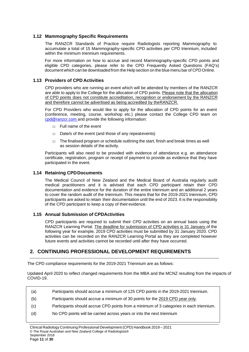## **1.12 Mammography Specific Requirements**

The RANZCR Standards of Practice require Radiologists reporting Mammography to accumulate a total of 15 Mammography-specific CPD activities per CPD triennium, included within the minimum triennium requirements.

For more information on how to accrue and record Mammography-specific CPD points and eligible CPD categories, please refer to the CPD Frequently Asked Questions (FAQ's) document which can be downloaded from the Help section on the blue menu bar of CPD Online.

## **1.13 Providers of CPD Activities**

CPD providers who are running an event which will be attended by members of the RANZCR are able to apply to the College for the allocation of CPD points. Please note that the allocation of CPD points does not constitute accreditation, recognition or endorsement by the RANZCR and therefore cannot be advertised as being accredited by theRANZCR.

For CPD Providers who would like to apply for the allocation of CPD points for an event (conference, meeting, course, workshop etc.) please contact the College CPD team on [cpd@ranzcr.com a](mailto:cpd@ranzcr.com)nd provide the following information:

- □ Full name of the event
- $\Box$  Date/s of the event (and those of any repeatevents)
- $\Box$  The finalised program or schedule outlining the start, finish and break times as well as session details of the activity.

Participants will also need to be provided with evidence of attendance e.g. an attendance certificate, registration, program or receipt of payment to provide as evidence that they have participated in the event.

## **1.14 Retaining CPDDocuments**

The Medical Council of New Zealand and the Medical Board of Australia regularly audit medical practitioners and it is advised that each CPD participant retain their CPD documentation and evidence for the duration of the entire triennium and an additional 2 years to cover the random audit of the triennium. This means that for the 2019-2021 triennium, CPD participants are asked to retain their documentation until the end of 2023. It is the responsibility of the CPD participant to keep a copy of their evidence.

## **1.15 Annual Submission of CPDActivities**

CPD participants are required to submit their CPD activities on an annual basis using the RANZCR Learning Portal. The deadline for submission of CPD activities is 31 January of the following year for example, 2019 CPD activities must be submitted by 31 January 2020. CPD activities can be recorded on the RANZCR Learning Portal as they are completed however future events and activities cannot be recorded until after they have occurred.

## <span id="page-11-0"></span>**2. CONTINUING PROFESSIONAL DEVELOPMENT REQUIREMENTS**

The CPD compliance requirements for the 2019-2021 Triennium are as follows:

Updated April 2020 to reflect changed requirements from the MBA and the MCNZ resulting from the impacts of COVID-19.

- (a) Participants should accrue a minimum of 125 CPD points in the 2019-2021 triennium.
- (b) Participants should accrue a minimum of 30 points for the 2019 CPD year only.
- (c) Participants should accrue CPD points from a minimum of 3 categories in each triennium.
- (d) No CPD points will be carried across years or into the next triennium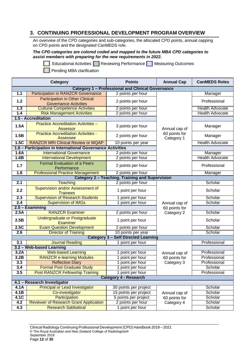## <span id="page-12-0"></span>**3. CONTINUING PROFESSIONAL DEVELOPMENT PROGRAM OVERVIEW**

An overview of the CPD categories and sub-categories, the allocated CPD points, annual capping on CPD points and the designated CanMEDS role.

#### *The CPD categories are colored coded and mapped to the future MBA CPD categories to assist members with preparing for the new requirements in 2022.*

**Educational Activities Reviewing Performance Measuring Outcomes** 



| Category                                                    |                                                                        | <b>Points</b>                                            | <b>Annual Cap</b>           | <b>CanMEDS Roles</b>   |  |
|-------------------------------------------------------------|------------------------------------------------------------------------|----------------------------------------------------------|-----------------------------|------------------------|--|
|                                                             |                                                                        | <b>Category 1 - Professional and Clinical Governance</b> |                             |                        |  |
| 1.1                                                         | <b>Participation in RANZCR Governance</b>                              | 2 points per hour                                        |                             | Manager                |  |
| 1.2                                                         | <b>Participation in Other Clinical</b><br><b>Governance Activities</b> | 2 points per hour                                        |                             | Professional           |  |
| 1.3                                                         | <b>Cultural Competence Activities</b>                                  | 2 points per hour                                        |                             | <b>Health Advocate</b> |  |
| 1.4                                                         | <b>Risk Management Activities</b>                                      | 2 points per hour                                        |                             | <b>Health Advocate</b> |  |
|                                                             | 1.5 - Accreditation                                                    |                                                          |                             |                        |  |
| 1.5A                                                        | <b>Practice Accreditation Activities -</b><br><b>Assessor</b>          | 3 points per hour                                        | Annual cap of               | Manager                |  |
| 1.5B                                                        | <b>Practice Accreditation Activities -</b><br>Assessee                 | 2 points per hour                                        | 60 points for<br>Category 1 | Manager                |  |
| 1.5C                                                        | <b>RANZCR MRI Clinical Review or MQAP</b>                              | 10 points per year                                       |                             | <b>Health Advocate</b> |  |
|                                                             | 1.6 - Participation in International Governance Activities             |                                                          |                             |                        |  |
| 1.6A                                                        | <b>International Governance</b>                                        | 2 points per hour                                        |                             | Manager                |  |
| 1.6B                                                        | <b>International Development</b>                                       | 2 points per hour                                        |                             | <b>Health Advocate</b> |  |
| 1.7                                                         | <b>Formal Evaluation of a Peers</b><br>Performance                     | 2 points per hour                                        |                             | Professional           |  |
| 1.8                                                         | <b>Professional Practice Management</b>                                | 2 points per hour                                        |                             | Manager                |  |
|                                                             | <b>Category 2 - Teaching, Training and Supervision</b>                 |                                                          |                             |                        |  |
| 2.1                                                         | <b>Teaching</b>                                                        | 2 points per hour                                        |                             | Scholar                |  |
| 2.2                                                         | Supervision and/or Assessment of<br><b>Trainees</b>                    | 1 point per hour                                         |                             | Scholar                |  |
| 2.3                                                         | <b>Supervision of Research Students</b>                                | 1 point per hour                                         |                             | Scholar                |  |
| 2.4                                                         | <b>Supervision of IMGs</b>                                             | 1 point per hour                                         | Annual cap of               | Scholar                |  |
| 2.5 - Examining<br>60 points for                            |                                                                        |                                                          |                             |                        |  |
| 2.5A                                                        | <b>RANZCR Examiner</b>                                                 | 2 points per hour                                        | Category 2                  | Scholar                |  |
| 2.5B                                                        | Undergraduate or Postgraduate<br><b>Examiner</b>                       | 1 point per hour                                         |                             | Scholar                |  |
| 2.5C                                                        | <b>Exam Question Development</b>                                       | 2 points per hour                                        |                             | Scholar                |  |
| 2.6                                                         | <b>Director of Training</b>                                            | 10 points per year                                       |                             | Scholar                |  |
|                                                             |                                                                        | <b>Category 3 - Self Directed Learning</b>               |                             |                        |  |
| 3.1                                                         | <b>Journal Reading</b>                                                 | 1 point per hour                                         |                             | Professional           |  |
|                                                             | 3.2 - Web-based Learning                                               |                                                          |                             |                        |  |
| 3.2A                                                        | <b>Web-based Learning</b>                                              | point per hour                                           | Annual cap of               | Professional           |  |
| 3.2B                                                        | <b>RANZCR e-learning Modules</b>                                       | point per hour                                           | 60 points for               | Professional           |  |
| 3.3                                                         | <b>Reflective Diary</b>                                                | 1 point per hour                                         | Category 3                  | Professional           |  |
| 3.4                                                         | Formal Post Graduate Study                                             | point per hour                                           |                             | Scholar                |  |
| 3.5                                                         | <b>Post RANZCR Fellowship Training</b>                                 | 1 point per hour                                         |                             | Professional           |  |
| <b>Category 4 - Research</b><br>4.1 - Research Investigator |                                                                        |                                                          |                             |                        |  |
| 4.1A                                                        | <b>Principal or Lead Investigator</b>                                  | 30 points per project                                    |                             | Scholar                |  |
| 4.1B                                                        | Co-investigator                                                        | 15 points per project                                    | Annual cap of               | Scholar                |  |
| 4.1C                                                        | Participation                                                          | 5 points per project                                     | 60 points for               | Scholar                |  |
| 4.2                                                         | <b>Reviewer of Research Grant Application</b>                          | 2 points per hour                                        | Category 4                  | Scholar                |  |
| 4.3                                                         | <b>Research Sabbatical</b>                                             | 1 point per hour                                         |                             | Scholar                |  |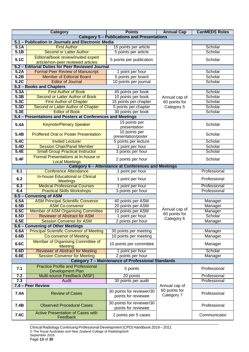|                          | Category                                                                                                                       | <b>Points</b>                                             | <b>Annual Cap</b>           | <b>CanMEDS Roles</b> |  |  |
|--------------------------|--------------------------------------------------------------------------------------------------------------------------------|-----------------------------------------------------------|-----------------------------|----------------------|--|--|
|                          | <b>Category 5 - Publications and Presentations</b>                                                                             |                                                           |                             |                      |  |  |
|                          | 5.1 - Publication in Journals and Electronic Media                                                                             |                                                           |                             |                      |  |  |
| 5.1A                     | <b>First Author</b>                                                                                                            | 15 points per article                                     |                             | Scholar              |  |  |
| 5.1B                     | <b>Second or Latter Author</b>                                                                                                 | 5 points per article                                      |                             | Scholar              |  |  |
| 5.1C                     | Editorial/book review/invited expert<br>article/non-peer reviewed articles<br>5.2 - Editorial Duties for Peer Reviewed Journal | 5 points per publication                                  |                             | Scholar              |  |  |
| 5.2A                     | <b>Formal Peer Review of Manuscript</b>                                                                                        | 1 point per hour                                          |                             | Scholar              |  |  |
| 5.2B                     | <b>Member of Editorial Board</b>                                                                                               | 5 points per board                                        |                             | Scholar              |  |  |
| 5.2C                     | <b>Editor of Journal</b>                                                                                                       | 10 points per journal                                     |                             | Scholar              |  |  |
| 5.3 - Books and Chapters |                                                                                                                                |                                                           |                             |                      |  |  |
| 5.3A                     | <b>First Author of Book</b>                                                                                                    | 45 points per book                                        |                             | Scholar              |  |  |
| 5.3B                     | Second or Latter Author of Book                                                                                                | 10 points per book                                        | Annual cap of               | Scholar              |  |  |
| 5.3C                     | <b>First Author of Chapter</b>                                                                                                 | 15 points per chapter                                     | 60 points for               | Scholar              |  |  |
| 5.3D                     | Second or Latter Author of Chapter                                                                                             | 5 points per chapter                                      | Category 5                  | Scholar              |  |  |
| 5.3E                     | <b>Editor of Book</b>                                                                                                          | 30 points per book                                        |                             | Scholar              |  |  |
|                          | 5.4 - Presentations and Posters at Conferences and Meetings                                                                    |                                                           |                             |                      |  |  |
|                          |                                                                                                                                |                                                           |                             |                      |  |  |
| 5.4A                     | <b>Keynote/Plenary Speaker</b>                                                                                                 | 15 points per                                             |                             | Scholar              |  |  |
| 5.4B                     | <b>Proffered Oral or Poster Presentation</b>                                                                                   | presentation<br>10 points per<br>presentation/poster      |                             | Scholar              |  |  |
| 5.4C                     | <b>Invited Lecturer</b>                                                                                                        | 5 points per lecture                                      |                             | Scholar              |  |  |
| 5.4D                     | <b>Session Chair/Panel Member</b>                                                                                              |                                                           |                             | Scholar              |  |  |
| 5.4E                     | <b>Small Group Practical Instructor</b>                                                                                        | 1 point per hour<br>3 points per hour                     |                             | Scholar              |  |  |
|                          |                                                                                                                                |                                                           |                             |                      |  |  |
| 5.4F                     | Formal Presentations at In-house or<br><b>Local Meetings</b>                                                                   | 2 points per hour                                         |                             | Scholar              |  |  |
|                          | Category 6 - Attendance at Conferences and Meetings                                                                            |                                                           |                             |                      |  |  |
| 6.1                      | <b>Conference Attendance</b>                                                                                                   | 1 point per hour                                          |                             | Professional         |  |  |
| 6.2                      | <b>In-house Educational or Clinical</b><br><b>Meetings</b>                                                                     | 1 point per hour                                          |                             | Professional         |  |  |
| 6.3                      | <b>Medical Professional Courses</b>                                                                                            | point per hour                                            |                             | Professional         |  |  |
| 6.4                      | <b>Practical Skills Workshops</b>                                                                                              | 3 points per hour                                         |                             | Professional         |  |  |
|                          | 6.5 - Convening of ASM                                                                                                         |                                                           |                             |                      |  |  |
| 6.5A                     | <b>ASM Principal Scientific Convenor</b>                                                                                       | 40 points per ASM                                         |                             | Manager              |  |  |
| 6.5B                     | <b>ASM Co-convenor</b>                                                                                                         | 20 points per ASM                                         | Annual cap of               | Manager              |  |  |
| 6.5C                     | Member of ASM Organising Committee                                                                                             | 10 points per ASM                                         | 60 points for               | Manager              |  |  |
| 6.5D                     | <b>Reviewer of Abstract for ASM</b>                                                                                            | 1 point per hour                                          | Category 6                  | Scholar              |  |  |
| 6.5E                     | <b>Session Convenor for ASM</b>                                                                                                | 2 points per hour                                         |                             | Manager              |  |  |
|                          | 6.6 - Convening of Other Meetings                                                                                              |                                                           |                             |                      |  |  |
| 6.6A                     | <b>Principal Scientific Convenor of Meeting</b>                                                                                | 30 points per meeting                                     |                             | Manager              |  |  |
| 6.6B                     | <b>Co-convenor of Meeting</b>                                                                                                  | 10 points per meeting                                     |                             | Manager              |  |  |
| 6.6C                     | Member of Organising Committee of<br><b>Meeting</b>                                                                            | 10 points per committee                                   |                             | Manager              |  |  |
| 6.6D                     | <b>Reviewer of Abstract for Meeting</b>                                                                                        | 1 point per hour                                          |                             | Scholar              |  |  |
| 6.6E                     | <b>Session Convenor for Meeting</b>                                                                                            | 2 points per hour                                         |                             | Manager              |  |  |
|                          |                                                                                                                                | <b>Category 7 - Maintenance of Professional Standards</b> |                             |                      |  |  |
| 7.1                      | <b>Practice Profile and Professional</b><br><b>Development Plan</b>                                                            | 5 points                                                  |                             | Professional         |  |  |
| 7.2                      | Multi-source Feedback (MSF)                                                                                                    | 20 points                                                 |                             | Professional         |  |  |
| 7.3                      | Audit                                                                                                                          | 30 points per audit                                       |                             | Professional         |  |  |
|                          | 7.4 - Peer Review                                                                                                              |                                                           | Annual cap of               |                      |  |  |
| 7.4A                     | <b>Review of Cases</b>                                                                                                         | 30 points for reviewer/30<br>points for reviewee          | 60 points for<br>Category 7 | Professional         |  |  |
| 7.4B                     | <b>Observed Procedural Cases</b>                                                                                               | 30 points for reviewer/30<br>points for reviewee          |                             | Professional         |  |  |
| 7.4C                     | <b>Active Presentation of Cases with</b><br>Feedback                                                                           | 2 points per 5 cases                                      |                             | Communicator         |  |  |

Clinical Radiology Continuing Professional Development (CPD) Handbook 2019 – 2021 © The Royal Australian and New Zealand College of Radiologists® September 2018 Page **13** of **30**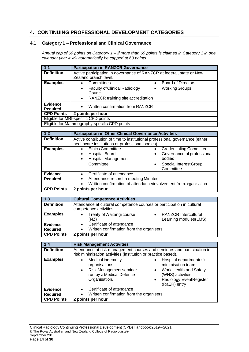## <span id="page-14-0"></span>**4. CONTINUING PROFESSIONAL DEVELOPMENT CATEGORIES**

## **4.1 Category 1 – Professional and Clinical Governance**

*Annual cap of 60 points on Category 1 – if more than 60 points is claimed in Category 1 in one calendar year it will automatically be capped at 60 points.*

| 1.1                                  | <b>Participation in RANZCR Governance</b>                                                      |  |
|--------------------------------------|------------------------------------------------------------------------------------------------|--|
| <b>Definition</b>                    | Active participation in governance of RANZCR at federal, state or New<br>Zealand branch level. |  |
| <b>Examples</b>                      | <b>Board of Directors</b><br>Committees<br>$\bullet$<br>$\bullet$                              |  |
|                                      | <b>Faculty of Clinical Radiology</b><br><b>Working Groups</b><br>$\bullet$<br>٠                |  |
|                                      | Council                                                                                        |  |
|                                      | RANZCR training site accreditation<br>$\bullet$                                                |  |
| <b>Evidence</b><br><b>Required</b>   | Written confirmation from RANZCR<br>$\bullet$                                                  |  |
| <b>CPD Points</b>                    | 2 points per hour                                                                              |  |
| Eligible for MRI-specific CPD points |                                                                                                |  |
|                                      | Eligible for Mammography-specific CPD points                                                   |  |

| 1.2                                | <b>Participation in Other Clinical Governance Activities</b>                                                                                                    |                                                                                                                            |
|------------------------------------|-----------------------------------------------------------------------------------------------------------------------------------------------------------------|----------------------------------------------------------------------------------------------------------------------------|
| <b>Definition</b>                  | Active contribution of time to institutional professional governance (either<br>healthcare institutions or professional bodies).                                |                                                                                                                            |
| <b>Examples</b>                    | <b>Ethics Committee</b><br>$\bullet$<br><b>Hospital Board</b><br>$\bullet$<br><b>Hospital Management</b><br>$\bullet$<br>Committee                              | <b>Credentialing Committee</b><br>Governance of professional<br>bodies<br>Special Interest Group<br>$\bullet$<br>Committee |
| <b>Evidence</b><br><b>Required</b> | Certificate of attendance<br>$\bullet$<br>Attendance record in meeting Minutes<br>$\bullet$<br>Written confirmation of attendance/involvement from organisation |                                                                                                                            |
| <b>CPD Points</b>                  | 2 points per hour                                                                                                                                               |                                                                                                                            |

| 1.3                                | <b>Cultural Competence Activities</b>                                                            |  |
|------------------------------------|--------------------------------------------------------------------------------------------------|--|
| <b>Definition</b>                  | Attendance at cultural competence courses or participation in cultural<br>competence activities. |  |
| <b>Examples</b>                    | Treaty of Waitangi course<br><b>RANZCR Intercultural</b><br>Learning modules (LMS)<br>(NZ)       |  |
| <b>Evidence</b><br><b>Required</b> | Certificate of attendance<br>Written confirmation from the organisers                            |  |
| <b>CPD Points</b>                  | 2 points per hour                                                                                |  |

| 1.4               | <b>Risk Management Activities</b>                                                                                                                                                                                                                                                                                |  |
|-------------------|------------------------------------------------------------------------------------------------------------------------------------------------------------------------------------------------------------------------------------------------------------------------------------------------------------------|--|
| <b>Definition</b> | Attendance at risk management courses and seminars and participation in<br>risk minimisation activities (institution or practice based).                                                                                                                                                                         |  |
| <b>Examples</b>   | Medical indemnity<br>Hospital departmentrisk<br>$\bullet$<br>minimisation team.<br>organisations<br><b>Risk Management seminar</b><br>Work Health and Safety<br>$\bullet$<br>$\bullet$<br>run by a Medical Defence<br>(WHS) activities.<br>Organisation.<br>Radiology EventRegister<br>$\bullet$<br>(RaER) entry |  |
| <b>Evidence</b>   | Certificate of attendance<br>$\bullet$                                                                                                                                                                                                                                                                           |  |
| <b>Required</b>   | Written confirmation from the organisers                                                                                                                                                                                                                                                                         |  |
| <b>CPD Points</b> | 2 points per hour                                                                                                                                                                                                                                                                                                |  |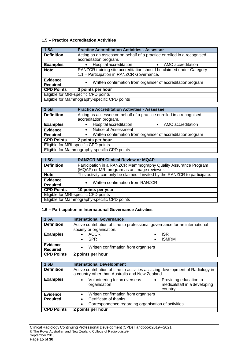## **1.5 – Practice Accreditation Activities**

| 1.5A                                         | <b>Practice Accreditation Activities - Assessor</b>                                                              |  |
|----------------------------------------------|------------------------------------------------------------------------------------------------------------------|--|
| <b>Definition</b>                            | Acting as an assessor on behalf of a practice enrolled in a recognised<br>accreditation program.                 |  |
| <b>Examples</b>                              | • Hospital accreditation<br>• AMC accreditation                                                                  |  |
| <b>Note</b>                                  | RANZCR training site accreditation should be claimed under Category<br>1.1 - Participation in RANZCR Governance. |  |
| <b>Evidence</b><br><b>Required</b>           | Written confirmation from organiser of accreditation program<br>$\bullet$                                        |  |
| <b>CPD Points</b>                            | 3 points per hour                                                                                                |  |
| Eligible for MRI-specific CPD points         |                                                                                                                  |  |
| Eligible for Mammography-specific CPD points |                                                                                                                  |  |
|                                              |                                                                                                                  |  |

| 1.5B                                         | <b>Practice Accreditation Activities - Assessee</b>                                           |  |
|----------------------------------------------|-----------------------------------------------------------------------------------------------|--|
| <b>Definition</b>                            | Acting as assessee on behalf of a practice enrolled in a recognised<br>accreditation program. |  |
|                                              |                                                                                               |  |
| <b>Examples</b>                              | Hospital accreditation<br>AMC accreditation<br>$\bullet$                                      |  |
| <b>Evidence</b>                              | Notice of Assessment                                                                          |  |
| <b>Required</b>                              | Written confirmation from organiser of accreditation program                                  |  |
| <b>CPD Points</b><br>2 points per hour       |                                                                                               |  |
| Eligible for MRI-specific CPD points         |                                                                                               |  |
| Eligible for Mammography-specific CPD points |                                                                                               |  |

| 1.5C                                         | <b>RANZCR MRI Clinical Review or MQAP</b>                                                                      |  |
|----------------------------------------------|----------------------------------------------------------------------------------------------------------------|--|
| <b>Definition</b>                            | Participation in a RANZCR Mammography Quality Assurance Program<br>(MQAP) or MRI program as an image reviewer. |  |
| <b>Note</b>                                  | This activity can only be claimed if invited by the RANZCR to participate.                                     |  |
| <b>Evidence</b><br><b>Required</b>           | Written confirmation from RANZCR                                                                               |  |
|                                              | <b>CPD Points</b><br>10 points per year                                                                        |  |
| Eligible for MRI-specific CPD points         |                                                                                                                |  |
| Eligible for Mammography-specific CPD points |                                                                                                                |  |

## **1.6 – Participation in International Governance Activities**

| 1.6A                               | <b>International Governance</b>                                             |                   |
|------------------------------------|-----------------------------------------------------------------------------|-------------------|
| <b>Definition</b>                  | Active contribution of time to professional governance for an international |                   |
|                                    | society or organisation.                                                    |                   |
| <b>Examples</b>                    | <b>AOCR</b>                                                                 | <b>ISR</b>        |
|                                    | <b>SPR</b>                                                                  | <b>ISMRM</b><br>٠ |
| <b>Evidence</b><br><b>Required</b> | Written confirmation from organisers<br>$\bullet$                           |                   |
| <b>CPD Points</b>                  | 2 points per hour                                                           |                   |

| 1.6B              | <b>International Development</b>                                                                                                   |  |
|-------------------|------------------------------------------------------------------------------------------------------------------------------------|--|
| <b>Definition</b> | Active contribution of time to activities assisting development of Radiology in<br>a country other than Australia and New Zealand. |  |
| <b>Examples</b>   | Volunteering for an overseas<br>Providing education to<br>medicalstaff in a developing<br>organisation<br>country                  |  |
| <b>Evidence</b>   | Written confirmation from organisers<br>$\bullet$                                                                                  |  |
| <b>Required</b>   | Certificate of thanks                                                                                                              |  |
|                   | Correspondence regarding organisation of activities                                                                                |  |
| <b>CPD Points</b> | 2 points per hour                                                                                                                  |  |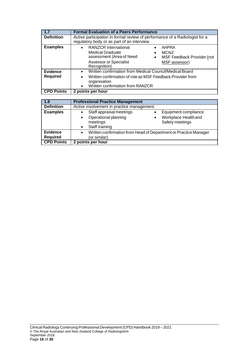| 1.7                                | <b>Formal Evaluation of a Peers Performance</b>                                                                                                                                                                                      |  |
|------------------------------------|--------------------------------------------------------------------------------------------------------------------------------------------------------------------------------------------------------------------------------------|--|
| <b>Definition</b>                  | Active participation in formal review of performance of a Radiologist for a<br>regulatory body or as part of an interview.                                                                                                           |  |
| <b>Examples</b>                    | <b>RANZCR International</b><br>AHPRA<br>$\bullet$<br><b>Medical Graduate</b><br><b>MCNZ</b><br>assessment (Area of Need<br>MSF Feedback Provider (not<br>$\bullet$<br><b>Assessor or Specialist</b><br>MSF assessor)<br>Recognition) |  |
| <b>Evidence</b><br><b>Required</b> | Written confirmation from Medical Council/Medical Board<br>$\bullet$<br>Written confirmation of role as MSF Feedback Provider from<br>organisation<br>Written confirmation from RANZCR                                               |  |
| <b>CPD Points</b>                  | 2 points per hour                                                                                                                                                                                                                    |  |
|                                    |                                                                                                                                                                                                                                      |  |
| 1.8                                | <b>Professional Practice Management</b>                                                                                                                                                                                              |  |
| <b>Definition</b>                  | Active involvement in practice management.                                                                                                                                                                                           |  |
| <b>Examples</b>                    | Staff appraisal meetings<br>Equipment compliance<br>٠<br>Workplace Healthand<br>Operational planning<br>$\bullet$<br>meetings<br>Safety meetings<br>Staff training                                                                   |  |

• Written confirmation from Head of Department or Practice Manager

(or similar)

**CPD Points 2 points per hour**

**Evidence Required**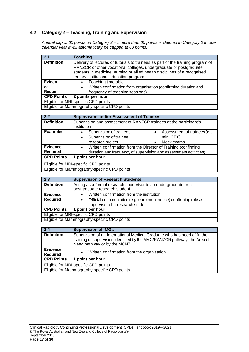## **4.2 Category 2 – Teaching, Training and Supervision**

*Annual cap of 60 points on Category 2 – if more than 60 points is claimed in Category 2 in one calendar year it will automatically be capped at 60 points.*

| $\overline{2.1}$  | <b>Teaching</b>                                                                                                                                                                                                                      |  |
|-------------------|--------------------------------------------------------------------------------------------------------------------------------------------------------------------------------------------------------------------------------------|--|
| <b>Definition</b> | Delivery of lectures or tutorials to trainees as part of the training program of<br>RANZCR or other vocational colleges, undergraduate or postgraduate<br>students in medicine, nursing or allied health disciplines of a recognised |  |
|                   | tertiary institutional education program.                                                                                                                                                                                            |  |
| Eviden            | Teaching timetable<br>$\bullet$                                                                                                                                                                                                      |  |
| ce.               | Written confirmation from organisation (confirming duration and<br>$\bullet$                                                                                                                                                         |  |
| Requir            | frequency of teaching sessions)                                                                                                                                                                                                      |  |
| <b>CPD Points</b> | 2 points per hour                                                                                                                                                                                                                    |  |
|                   | Eligible for MRI-specific CPD points                                                                                                                                                                                                 |  |
|                   | Eligible for Mammography-specific CPD points                                                                                                                                                                                         |  |

| 2.2                                          | <b>Supervision and/or Assessment of Trainees</b>                                  |  |
|----------------------------------------------|-----------------------------------------------------------------------------------|--|
| <b>Definition</b>                            | Supervision and assessment of RANZCR trainees at the participant's<br>institution |  |
| <b>Examples</b>                              | Supervision of trainees<br>Assessment of trainees (e.g.                           |  |
|                                              | mini CEX)<br>Supervision of trainee<br>٠                                          |  |
|                                              | research project<br>Mock exams                                                    |  |
| <b>Evidence</b>                              | Written confirmation from the Director of Training (confirming                    |  |
| <b>Required</b>                              | duration and frequency of supervision and assessment activities)                  |  |
| <b>CPD Points</b>                            | 1 point per hour                                                                  |  |
| Eligible for MRI-specific CPD points         |                                                                                   |  |
| Eligible for Mammography-specific CPD points |                                                                                   |  |

| 2.3                                          | <b>Supervision of Research Students</b>                                                                             |  |
|----------------------------------------------|---------------------------------------------------------------------------------------------------------------------|--|
| <b>Definition</b>                            | Acting as a formal research supervisor to an undergraduate or a<br>postgraduate research student.                   |  |
| Evidence                                     | • Written confirmation from the institution                                                                         |  |
| <b>Required</b>                              | Official documentation (e.g. enrolment notice) confirming role as<br>$\bullet$<br>supervisor of a research student. |  |
| <b>CPD Points</b>                            | 1 point per hour                                                                                                    |  |
|                                              | Eligible for MRI-specific CPD points                                                                                |  |
| Eligible for Mammography-specific CPD points |                                                                                                                     |  |

| 2.4                                          | <b>Supervision of IMGs</b>                                                                                                                                                            |  |
|----------------------------------------------|---------------------------------------------------------------------------------------------------------------------------------------------------------------------------------------|--|
| <b>Definition</b>                            | Supervision of an International Medical Graduate who has need of further<br>training or supervision identified by the AMC/RANZCR pathway, the Area of<br>Need pathway or by the MCNZ. |  |
| <b>Evidence</b><br><b>Required</b>           | Written confirmation from the organisation<br>$\bullet$                                                                                                                               |  |
| <b>CPD Points</b>                            | 1 point per hour                                                                                                                                                                      |  |
| Eligible for MRI-specific CPD points         |                                                                                                                                                                                       |  |
| Eligible for Mammography-specific CPD points |                                                                                                                                                                                       |  |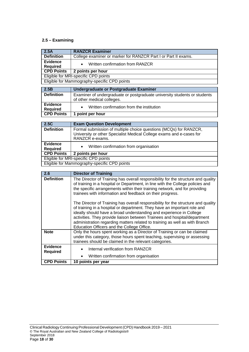## **2.5 – Examining**

| 2.5A                                         | <b>RANZCR Examiner</b>                                                                                                                                       |  |
|----------------------------------------------|--------------------------------------------------------------------------------------------------------------------------------------------------------------|--|
| <b>Definition</b>                            | College examiner or marker for RANZCR Part I or Part II exams.                                                                                               |  |
| <b>Evidence</b><br><b>Required</b>           | Written confirmation from RANZCR                                                                                                                             |  |
| <b>CPD Points</b>                            | 2 points per hour                                                                                                                                            |  |
|                                              | Eligible for MRI-specific CPD points                                                                                                                         |  |
|                                              | Eligible for Mammography-specific CPD points                                                                                                                 |  |
| 2.5B                                         | Undergraduate or Postgraduate Examiner                                                                                                                       |  |
| <b>Definition</b>                            | Examiner of undergraduate or postgraduate university students or students<br>of other medical colleges.                                                      |  |
| <b>Evidence</b><br><b>Required</b>           | Written confirmation from the institution                                                                                                                    |  |
| <b>CPD Points</b>                            | 1 point per hour                                                                                                                                             |  |
|                                              |                                                                                                                                                              |  |
| 2.5C                                         | <b>Exam Question Development</b>                                                                                                                             |  |
| <b>Definition</b>                            | Formal submission of multiple choice questions (MCQs) for RANZCR,<br>University or other Specialist Medical College exams and e-cases for<br>RANZCR e-exams. |  |
| Evidence<br><b>Required</b>                  | Written confirmation from organisation<br>$\bullet$                                                                                                          |  |
| <b>CPD Points</b>                            | 2 points per hour                                                                                                                                            |  |
| Eligible for MRI-specific CPD points         |                                                                                                                                                              |  |
| Eligible for Mammography-specific CPD points |                                                                                                                                                              |  |
|                                              |                                                                                                                                                              |  |
| 2.6                                          | <b>Director of Training</b>                                                                                                                                  |  |
| $D = 0.1111$                                 | the three contracts and contracts are all the<br>$-1$<br>$\mathbf{H}$<br>$\mathbf{r}$                                                                        |  |

| Z.O                                | <b>Director of Training</b>                                                                                                                                                                                                                                                                                                                                                                                                                    |  |  |
|------------------------------------|------------------------------------------------------------------------------------------------------------------------------------------------------------------------------------------------------------------------------------------------------------------------------------------------------------------------------------------------------------------------------------------------------------------------------------------------|--|--|
| <b>Definition</b>                  | The Director of Training has overall responsibility for the structure and quality<br>of training in a hospital or Department, in line with the College policies and<br>the specific arrangements within their training network, and for providing<br>trainees with information and feedback on their progress.                                                                                                                                 |  |  |
|                                    | The Director of Training has overall responsibility for the structure and quality<br>of training in a hospital or department. They have an important role and<br>ideally should have a broad understanding and experience in College<br>activities. They provide liaison between Trainees and hospital/department<br>administration regarding matters related to training as well as with Branch<br>Education Officers and the College Office. |  |  |
| <b>Note</b>                        | Only the hours spent working as a Director of Training or can be claimed<br>under this category, those hours spent teaching, supervising or assessing<br>trainees should be claimed in the relevant categories.                                                                                                                                                                                                                                |  |  |
| <b>Evidence</b><br><b>Required</b> | Internal verification from RANZCR<br>Written confirmation from organisation                                                                                                                                                                                                                                                                                                                                                                    |  |  |
| <b>CPD Points</b>                  | 10 points per year                                                                                                                                                                                                                                                                                                                                                                                                                             |  |  |
|                                    |                                                                                                                                                                                                                                                                                                                                                                                                                                                |  |  |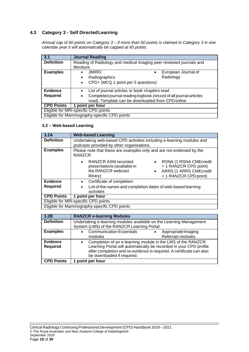## **4.3 Category 3 - Self DirectedLearning**

*Annual cap of 60 points on Category 3 – if more than 60 points is claimed in Category 3 in one calendar year it will automatically be capped at 60 points.*

| 3.1                                          | <b>Journal Reading</b>                                                                                                                         |  |  |
|----------------------------------------------|------------------------------------------------------------------------------------------------------------------------------------------------|--|--|
| <b>Definition</b>                            | Reading of Radiology and medical imaging peer reviewed journals and                                                                            |  |  |
|                                              | literature.                                                                                                                                    |  |  |
| <b>Examples</b>                              | <b>JMIRO</b><br>European Journal of<br>$\bullet$<br>Radiology<br>Radiographics<br>$\bullet$<br>CPD+ (MCQ 1 point per 5 questions)<br>$\bullet$ |  |  |
| <b>Evidence</b>                              | List of journal articles or book chapters read<br>$\bullet$                                                                                    |  |  |
| <b>Required</b>                              | Completed journal reading logbook (record of all journal articles<br>٠<br>read). Template can be downloaded from CPD online                    |  |  |
| <b>CPD Points</b>                            | point per hour<br>1                                                                                                                            |  |  |
| Eligible for MRI-specific CPD points         |                                                                                                                                                |  |  |
| Eligible for Mammography-specific CPD points |                                                                                                                                                |  |  |

### **3.2 – Web-based Learning**

| 3.2A                                 | <b>Web-based Learning</b>                                                                                                                                                                                                 |  |
|--------------------------------------|---------------------------------------------------------------------------------------------------------------------------------------------------------------------------------------------------------------------------|--|
| <b>Definition</b>                    | Undertaking web-based CPD activities including e-learning modules and<br>podcasts provided by other organisations.                                                                                                        |  |
| <b>Examples</b>                      | Please note that these are examples only and are not endorsed by the<br>RANZCR.                                                                                                                                           |  |
|                                      | <b>RANZCR ASM recorded</b><br>RSNA (1 RSNA CMEcredit<br>$= 1$ RANZCR CPD point)<br>presentations (available in<br>the RANZCR webcast<br><b>ARRS (1 ARRS CMEcredit</b><br>$\bullet$<br>$= 1$ RANZCR CPD point)<br>library) |  |
| <b>Evidence</b>                      | Certificate of completion<br>$\bullet$                                                                                                                                                                                    |  |
| <b>Required</b>                      | List of the names and completion dates of web-based learning<br>activities                                                                                                                                                |  |
| <b>CPD Points</b>                    | 1 point per hour                                                                                                                                                                                                          |  |
| Eligible for MRI-specific CPD points |                                                                                                                                                                                                                           |  |
|                                      | Eligible for Mammography-specific CPD points                                                                                                                                                                              |  |

| 3.2B                               | <b>RANZCR e-learning Modules</b>                                                                                                                                                                                                                     |  |
|------------------------------------|------------------------------------------------------------------------------------------------------------------------------------------------------------------------------------------------------------------------------------------------------|--|
| <b>Definition</b>                  | Undertaking e-learning modules available on the Learning Management<br>System (LMS) of the RANZCR Learning Portal.                                                                                                                                   |  |
| <b>Examples</b>                    | <b>Communication Essentials</b><br>Appropriate Imaging<br>$\bullet$<br>Referrals modules<br>modules                                                                                                                                                  |  |
| <b>Evidence</b><br><b>Required</b> | Completion of an e-learning module in the LMS of the RANZCR<br>$\bullet$<br>Learning Portal will automatically be recorded in your CPD profile<br>after completion and no evidence is required. A certificate can also<br>be downloaded if required. |  |
| <b>CPD Points</b>                  | point per hour                                                                                                                                                                                                                                       |  |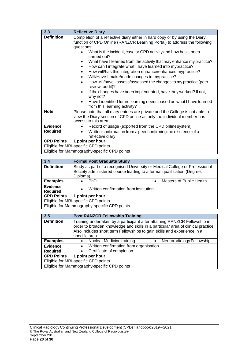| 3.3               | <b>Reflective Diary</b>                                                                                                                                                                                                                                                                                                                                                                                                                                                                                                                                                                                                                                                                                                                                                                                                      |  |  |
|-------------------|------------------------------------------------------------------------------------------------------------------------------------------------------------------------------------------------------------------------------------------------------------------------------------------------------------------------------------------------------------------------------------------------------------------------------------------------------------------------------------------------------------------------------------------------------------------------------------------------------------------------------------------------------------------------------------------------------------------------------------------------------------------------------------------------------------------------------|--|--|
| <b>Definition</b> | Completion of a reflective diary either in hard copy or by using the Diary<br>function of CPD Online (RANZCR Learning Portal) to address the following<br>questions:<br>What is the incident, case or CPD activity and how has it been<br>carried out?<br>What have I learned from the activity that may enhance my practice?<br>How can I integrate what I have learned into mypractice?<br>How will/has this integration enhance/enhanced mypractice?<br>$\bullet$<br>Will/Have I make/made changes to mypractice?<br>$\bullet$<br>How will/have I assess/assessed the changes to my practice (peer<br>$\bullet$<br>review, audit)?<br>If the changes have been implemented, have they worked? If not,<br>why not?<br>Have I identified future learning needs based on what I have learned<br>from this learning activity? |  |  |
| <b>Note</b>       | Please note that all diary entries are private and the College is not able to<br>view the Diary section of CPD online as only the individual member has<br>access to this area.                                                                                                                                                                                                                                                                                                                                                                                                                                                                                                                                                                                                                                              |  |  |
| <b>Evidence</b>   | Record of usage (exported from the CPD onlinesystem)<br>$\bullet$                                                                                                                                                                                                                                                                                                                                                                                                                                                                                                                                                                                                                                                                                                                                                            |  |  |
| <b>Required</b>   | Written confirmation from a peer confirming the existence of a<br>reflective diary                                                                                                                                                                                                                                                                                                                                                                                                                                                                                                                                                                                                                                                                                                                                           |  |  |
| <b>CPD Points</b> | 1 point per hour                                                                                                                                                                                                                                                                                                                                                                                                                                                                                                                                                                                                                                                                                                                                                                                                             |  |  |
|                   | Eligible for MRI-specific CPD points                                                                                                                                                                                                                                                                                                                                                                                                                                                                                                                                                                                                                                                                                                                                                                                         |  |  |
|                   | Eligible for Mammography-specific CPD points                                                                                                                                                                                                                                                                                                                                                                                                                                                                                                                                                                                                                                                                                                                                                                                 |  |  |

| 3.4                                  | <b>Formal Post Graduate Study</b>                                                                                                                     |                                              |  |
|--------------------------------------|-------------------------------------------------------------------------------------------------------------------------------------------------------|----------------------------------------------|--|
| <b>Definition</b>                    | Study as part of a recognised University or Medical College or Professional<br>Society administered course leading to a formal qualification (Degree, |                                              |  |
|                                      | Diploma).                                                                                                                                             |                                              |  |
| <b>Examples</b>                      | <b>PhD</b>                                                                                                                                            | <b>Masters of Public Health</b><br>$\bullet$ |  |
| Evidence                             | Written confirmation from institution                                                                                                                 |                                              |  |
| <b>Required</b>                      | $\bullet$                                                                                                                                             |                                              |  |
| <b>CPD Points</b>                    | 1 point per hour                                                                                                                                      |                                              |  |
| Eligible for MRI-specific CPD points |                                                                                                                                                       |                                              |  |
|                                      | Eligible for Mammography-specific CPD points                                                                                                          |                                              |  |

| 3.5               | <b>Post RANZCR Fellowship Training</b>                                                                                                                                                                                                                     |  |
|-------------------|------------------------------------------------------------------------------------------------------------------------------------------------------------------------------------------------------------------------------------------------------------|--|
| <b>Definition</b> | Training undertaken by a participant after attaining RANZCR Fellowship in<br>order to broaden knowledge and skills in a particular area of clinical practice.<br>Also includes short term Fellowships to gain skills and experience in a<br>specific area. |  |
| <b>Examples</b>   | • Nuclear Medicine training<br>Neuroradiology Fellowship                                                                                                                                                                                                   |  |
| <b>Evidence</b>   | • Written confirmation from organisation                                                                                                                                                                                                                   |  |
| <b>Required</b>   | Certificate of completion                                                                                                                                                                                                                                  |  |
| <b>CPD Points</b> | point per hour<br>1.                                                                                                                                                                                                                                       |  |
|                   | Eligible for MRI-specific CPD points                                                                                                                                                                                                                       |  |
|                   | Eligible for Mammography-specific CPD points                                                                                                                                                                                                               |  |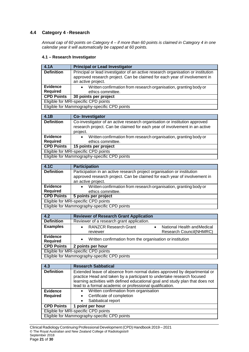## **4.4 Category 4 -Research**

*Annual cap of 60 points on Category 4 – if more than 60 points is claimed in Category 4 in one calendar year it will automatically be capped at 60 points.*

#### **4.1 – Research Investigator**

| 4.1A                                         | <b>Principal or Lead Investigator</b>                                                                                                                                               |
|----------------------------------------------|-------------------------------------------------------------------------------------------------------------------------------------------------------------------------------------|
| <b>Definition</b>                            | Principal or lead investigator of an active research organisation or institution<br>approved research project. Can be claimed for each year of involvement in<br>an active project. |
| <b>Evidence</b><br><b>Required</b>           | Written confirmation from research organisation, granting body or<br>$\bullet$<br>ethics committee.                                                                                 |
| <b>CPD Points</b>                            | 30 points per project                                                                                                                                                               |
| Eligible for MRI-specific CPD points         |                                                                                                                                                                                     |
| Eligible for Mammography-specific CPD points |                                                                                                                                                                                     |

| 4.1B                                         | Co-Investigator                                                                                                                                                      |
|----------------------------------------------|----------------------------------------------------------------------------------------------------------------------------------------------------------------------|
| <b>Definition</b>                            | Co-investigator of an active research organisation or institution approved<br>research project. Can be claimed for each year of involvement in an active<br>project. |
| <b>Evidence</b>                              | Written confirmation from research organisation, granting body or<br>$\bullet$                                                                                       |
| <b>Required</b>                              | ethics committee.                                                                                                                                                    |
| <b>CPD Points</b>                            | 15 points per project                                                                                                                                                |
| Eligible for MRI-specific CPD points         |                                                                                                                                                                      |
| Eligible for Mammography-specific CPD points |                                                                                                                                                                      |

| $-4.1C$                              | <b>Participation</b>                                                      |  |
|--------------------------------------|---------------------------------------------------------------------------|--|
| <b>Definition</b>                    | Participation in an active research project organisation or institution   |  |
|                                      | approved research project. Can be claimed for each year of involvement in |  |
|                                      | an active project.                                                        |  |
| <b>Evidence</b>                      | Written confirmation from research organisation, granting body or         |  |
| <b>Required</b>                      | ethics committee.                                                         |  |
| <b>CPD Points</b>                    | 5 points per project                                                      |  |
| Eligible for MRI-specific CPD points |                                                                           |  |
|                                      | Eligible for Mammography-specific CPD points                              |  |

| 4.2                                          | <b>Reviewer of Research Grant Application</b>               |
|----------------------------------------------|-------------------------------------------------------------|
| <b>Definition</b>                            | Reviewer of a research grant application.                   |
| <b>Examples</b>                              | <b>RANZCR Research Grant</b><br>National Health and Medical |
|                                              | Research Council(NHMRC)<br>reviewer                         |
| <b>Evidence</b><br><b>Required</b>           | Written confirmation from the organisation or institution   |
| <b>CPD Points</b>                            | 2 points per hour                                           |
| Eligible for MRI-specific CPD points         |                                                             |
| Eligible for Mammography-specific CPD points |                                                             |

| 4.3               | <b>Research Sabbatical</b>                                                     |  |
|-------------------|--------------------------------------------------------------------------------|--|
|                   |                                                                                |  |
| <b>Definition</b> | Extended leave of absence from normal duties approved by departmental or       |  |
|                   | practice Head and taken by a participant to undertake research focused         |  |
|                   | learning activities with defined educational goal and study plan that does not |  |
|                   | lead to a formal academic or professional qualification.                       |  |
| <b>Evidence</b>   | Written confirmation from organisation<br>$\bullet$                            |  |
| <b>Required</b>   | Certificate of completion                                                      |  |
|                   | Sabbatical report                                                              |  |
| <b>CPD Points</b> | 1 point per hour                                                               |  |
|                   | Eligible for MRI-specific CPD points                                           |  |
|                   | Eligible for Mammography-specific CPD points                                   |  |

Clinical Radiology Continuing Professional Development (CPD) Handbook 2019 – 2021 © The Royal Australian and New Zealand College of Radiologists® September 2018 Page **21** of **30**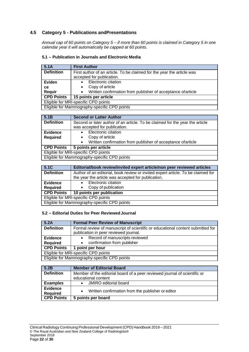## **4.5 Category 5 - Publications andPresentations**

*Annual cap of 60 points on Category 5 – if more than 60 points is claimed in Category 5 in one calendar year it will automatically be capped at 60 points.*

## **5.1 – Publication in Journals and Electronic Media**

| 5.1A                                         | <b>First Author</b>                                                       |
|----------------------------------------------|---------------------------------------------------------------------------|
| <b>Definition</b>                            | First author of an article. To be claimed for the year the article was    |
|                                              | accepted for publication.                                                 |
| Eviden                                       | Electronic citation                                                       |
| ce                                           | Copy of article                                                           |
| Requir                                       | Written confirmation from publisher of acceptance of article<br>$\bullet$ |
| <b>CPD Points</b>                            | 15 points per article                                                     |
| Eligible for MRI-specific CPD points         |                                                                           |
| Eligible for Mammography-specific CPD points |                                                                           |

| <b>Second or Latter Author</b>                                               |  |
|------------------------------------------------------------------------------|--|
| Second or later author of an article. To be claimed for the year the article |  |
| was accepted for publication.                                                |  |
| Electronic citation                                                          |  |
| Copy of article                                                              |  |
| Written confirmation from publisher of acceptance of article<br>$\bullet$    |  |
| 5 points per article                                                         |  |
| Eligible for MRI-specific CPD points                                         |  |
| Eligible for Mammography-specific CPD points                                 |  |
|                                                                              |  |

| 5.1C                                         | Editorial/book review/invited expert article/non peer reviewed articles          |
|----------------------------------------------|----------------------------------------------------------------------------------|
| <b>Definition</b>                            | Author of an editorial, book review or invited expert article. To be claimed for |
|                                              | the year the article was accepted for publication.                               |
| <b>Evidence</b>                              | Electronic citation                                                              |
| <b>Required</b>                              | Copy of publication                                                              |
| <b>CPD Points</b>                            | 10 points per publication                                                        |
| Eligible for MRI-specific CPD points         |                                                                                  |
| Eligible for Mammography-specific CPD points |                                                                                  |

#### **5.2 – Editorial Duties for Peer ReviewedJournal**

| 5.2A              | <b>Formal Peer Review of Manuscript</b>                                        |
|-------------------|--------------------------------------------------------------------------------|
| <b>Definition</b> | Formal review of manuscript of scientific or educational content submitted for |
|                   | publication in peer reviewed journal.                                          |
| <b>Evidence</b>   | Record of manuscripts reviewed<br>$\bullet$                                    |
| <b>Required</b>   | • confirmation from publisher                                                  |
| <b>CPD Points</b> | 1 point per hour                                                               |
|                   | Eligible for MRI-specific CPD points                                           |
|                   | Eligible for Mammography-specific CPD points                                   |

| 5.2B                               | <b>Member of Editorial Board</b>                                                                 |
|------------------------------------|--------------------------------------------------------------------------------------------------|
| <b>Definition</b>                  | Member of the editorial board of a peer reviewed journal of scientific or<br>educational content |
| <b>Examples</b>                    | <b>JMIRO</b> editorial board                                                                     |
| <b>Evidence</b><br><b>Required</b> | Written confirmation from the publisher or editor                                                |
| <b>CPD Points</b>                  | 5 points per board                                                                               |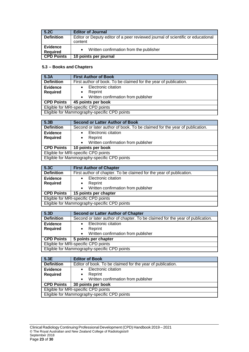| 5.2C                               | <b>Editor of Journal</b>                                                                   |
|------------------------------------|--------------------------------------------------------------------------------------------|
| <b>Definition</b>                  | Editor or Deputy editor of a peer reviewed journal of scientific or educational<br>content |
| <b>Evidence</b><br><b>Required</b> | Written confirmation from the publisher                                                    |
| <b>CPD Points</b>                  | 10 points per journal                                                                      |

## **5.3 – Books and Chapters**

| 5.3A                                         | <b>First Author of Book</b>                                      |  |
|----------------------------------------------|------------------------------------------------------------------|--|
| <b>Definition</b>                            | First author of book. To be claimed for the year of publication. |  |
| Evidence                                     | Electronic citation                                              |  |
| <b>Required</b>                              | Reprint                                                          |  |
|                                              | Written confirmation from publisher                              |  |
| <b>CPD Points</b>                            | 45 points per book                                               |  |
| Eligible for MRI-specific CPD points         |                                                                  |  |
| Eligible for Mammography-specific CPD points |                                                                  |  |

| 5.3B                                         | <b>Second or Latter Author of Book</b>                                     |  |
|----------------------------------------------|----------------------------------------------------------------------------|--|
| <b>Definition</b>                            | Second or later author of book. To be claimed for the year of publication. |  |
| <b>Evidence</b>                              | Electronic citation                                                        |  |
| <b>Required</b>                              | Reprint                                                                    |  |
|                                              | Written confirmation from publisher<br>$\bullet$                           |  |
| <b>CPD Points</b>                            | 10 points per book                                                         |  |
|                                              | Eligible for MRI-specific CPD points                                       |  |
| Eligible for Mammography-specific CPD points |                                                                            |  |

| 5.3C                                         | <b>First Author of Chapter</b>                                      |  |
|----------------------------------------------|---------------------------------------------------------------------|--|
| <b>Definition</b>                            | First author of chapter. To be claimed for the year of publication. |  |
| <b>Evidence</b>                              | Electronic citation                                                 |  |
| <b>Required</b>                              | Reprint                                                             |  |
|                                              | Written confirmation from publisher<br>$\bullet$                    |  |
| <b>CPD Points</b>                            | 15 points per chapter                                               |  |
|                                              | Eligible for MRI-specific CPD points                                |  |
| Eligible for Mammography-specific CPD points |                                                                     |  |

| 5.3D                                 | <b>Second or Latter Author of Chapter</b>                                     |  |
|--------------------------------------|-------------------------------------------------------------------------------|--|
| <b>Definition</b>                    | Second or later author of chapter. To be claimed for the year of publication. |  |
| <b>Evidence</b>                      | Electronic citation                                                           |  |
| <b>Required</b>                      | Reprint                                                                       |  |
|                                      | Written confirmation from publisher<br>$\bullet$                              |  |
| <b>CPD Points</b>                    | 5 points per chapter                                                          |  |
| Eligible for MRI-specific CPD points |                                                                               |  |
|                                      | Eligible for Mammography-specific CPD points                                  |  |

| 5.3E                                         | <b>Editor of Book</b>                                      |  |
|----------------------------------------------|------------------------------------------------------------|--|
| <b>Definition</b>                            | Editor of book. To be claimed for the year of publication. |  |
| <b>Evidence</b>                              | Electronic citation                                        |  |
| <b>Required</b>                              | Reprint<br>٠                                               |  |
|                                              | • Written confirmation from publisher                      |  |
| <b>CPD Points</b>                            | 30 points per book                                         |  |
| Eligible for MRI-specific CPD points         |                                                            |  |
| Eligible for Mammography-specific CPD points |                                                            |  |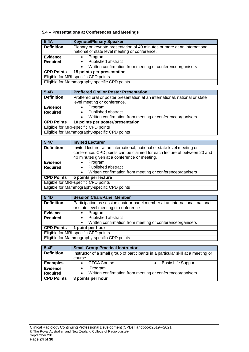## **5.4 – Presentations at Conferences and Meetings**

| 5.4A                                         | <b>Keynote/Plenary Speaker</b>                                                                                               |  |
|----------------------------------------------|------------------------------------------------------------------------------------------------------------------------------|--|
| <b>Definition</b>                            | Plenary or keynote presentation of 40 minutes or more at an international,<br>national or state level meeting or conference. |  |
| <b>Evidence</b>                              | Program                                                                                                                      |  |
| <b>Required</b>                              | Published abstract<br>$\bullet$                                                                                              |  |
|                                              | Written confirmation from meeting or conferenceorganisers<br>$\bullet$                                                       |  |
| <b>CPD Points</b>                            | 15 points per presentation                                                                                                   |  |
| Eligible for MRI-specific CPD points         |                                                                                                                              |  |
| Eligible for Mammography-specific CPD points |                                                                                                                              |  |

| 5.4B                                         | <b>Proffered Oral or Poster Presentation</b>                                 |  |
|----------------------------------------------|------------------------------------------------------------------------------|--|
| <b>Definition</b>                            | Proffered oral or poster presentation at an international, national or state |  |
|                                              | level meeting or conference.                                                 |  |
| Evidence                                     | Program<br>٠                                                                 |  |
| <b>Required</b>                              | Published abstract                                                           |  |
|                                              | Written confirmation from meeting or conferenceorganisers<br>$\bullet$       |  |
| <b>CPD Points</b>                            | 10 points per poster/presentation                                            |  |
| Eligible for MRI-specific CPD points         |                                                                              |  |
| Eligible for Mammography-specific CPD points |                                                                              |  |

| 5.4C              | <b>Invited Lecturer</b>                                                  |  |
|-------------------|--------------------------------------------------------------------------|--|
| <b>Definition</b> | Invited lecturer at an international, national or state level meeting or |  |
|                   | conference. CPD points can be claimed for each lecture of between 20 and |  |
|                   | 40 minutes given at a conference or meeting.                             |  |
| <b>Evidence</b>   | Program                                                                  |  |
| <b>Required</b>   | Published abstract                                                       |  |
|                   | Written confirmation from meeting or conferenceorganisers                |  |
| <b>CPD Points</b> | 5 points per lecture                                                     |  |
|                   | Eligible for MRI-specific CPD points                                     |  |
|                   | Eligible for Mammography-specific CPD points                             |  |

| 5.4D              | <b>Session Chair/Panel Member</b>                                            |  |
|-------------------|------------------------------------------------------------------------------|--|
| <b>Definition</b> | Participation as session chair or panel member at an international, national |  |
|                   | or state level meeting or conference.                                        |  |
| <b>Evidence</b>   | Program                                                                      |  |
| <b>Required</b>   | Published abstract                                                           |  |
|                   | Written confirmation from meeting or conferenceorganisers<br>$\bullet$       |  |
| <b>CPD Points</b> | 1 point per hour                                                             |  |
|                   | Eligible for MRI-specific CPD points                                         |  |
|                   |                                                                              |  |
|                   | Eligible for Mammography-specific CPD points                                 |  |

| 5.4E              | <b>Small Group Practical Instructor</b>                                           |  |  |
|-------------------|-----------------------------------------------------------------------------------|--|--|
| <b>Definition</b> | Instructor of a small group of participants in a particular skill at a meeting or |  |  |
|                   | course.                                                                           |  |  |
| <b>Examples</b>   | <b>CTCA Course</b><br><b>Basic Life Support</b>                                   |  |  |
| <b>Evidence</b>   | Program                                                                           |  |  |
| <b>Required</b>   | Written confirmation from meeting or conferenceorganisers                         |  |  |
| <b>CPD Points</b> | 3 points per hour                                                                 |  |  |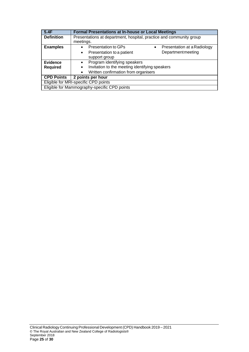| 5.4F                                         | <b>Formal Presentations at In-house or Local Meetings</b>           |  |
|----------------------------------------------|---------------------------------------------------------------------|--|
| <b>Definition</b>                            | Presentations at department, hospital, practice and community group |  |
|                                              | meetings.                                                           |  |
| <b>Examples</b>                              | Presentation to GPs<br>Presentation at a Radiology<br>$\bullet$     |  |
|                                              | Department meeting<br>Presentation to a patient<br>$\bullet$        |  |
|                                              | support group                                                       |  |
| <b>Evidence</b>                              | Program identifying speakers<br>$\bullet$                           |  |
| <b>Required</b>                              | Invitation to the meeting identifying speakers<br>$\bullet$         |  |
|                                              | Written confirmation from organisers<br>$\bullet$                   |  |
| <b>CPD Points</b>                            | 2 points per hour                                                   |  |
| Eligible for MRI-specific CPD points         |                                                                     |  |
| Eligible for Mammography-specific CPD points |                                                                     |  |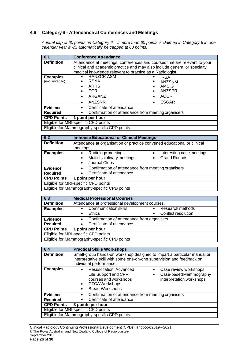## **4.6 Category 6 - Attendance at Conferences and Meetings**

*Annual cap of 60 points on Category 6 – if more than 60 points is claimed in Category 6 in one calendar year it will automatically be capped at 60 points.*

| 6.1                                                     | <b>Conference Attendance</b>                                                                                                                                                                                      |                                                                                |  |
|---------------------------------------------------------|-------------------------------------------------------------------------------------------------------------------------------------------------------------------------------------------------------------------|--------------------------------------------------------------------------------|--|
| <b>Definition</b>                                       | Attendance at meetings, conferences and courses that are relevant to your<br>clinical and academic practice and may also include general or specialty<br>medical knowledge relevant to practice as a Radiologist. |                                                                                |  |
| <b>Examples</b><br>(not limited to)                     | <b>RANZCR ASM</b><br>$\bullet$<br><b>RSNA</b><br>$\bullet$<br>ARRS<br><b>ECR</b><br>$\bullet$<br>ARGANZ<br>ANZSNR<br>$\bullet$                                                                                    | <b>IRSA</b><br><b>ANZSNM</b><br>AMSIG<br>ANZSPR<br><b>AOCR</b><br><b>ESGAR</b> |  |
| <b>Evidence</b><br><b>Required</b><br><b>CPD Points</b> | Certificate of attendance<br>$\bullet$<br>Confirmation of attendance from meeting organisers<br>$\bullet$<br>point per hour<br>1                                                                                  |                                                                                |  |
|                                                         |                                                                                                                                                                                                                   |                                                                                |  |
| Eligible for MRI-specific CPD points                    |                                                                                                                                                                                                                   |                                                                                |  |
| Eligible for Mammography-specific CPD points            |                                                                                                                                                                                                                   |                                                                                |  |

| 6.2               | <b>In-house Educational or Clinical Meetings</b>                            |
|-------------------|-----------------------------------------------------------------------------|
| <b>Definition</b> | Attendance at organisation or practice convened educational or clinical     |
|                   | meetings.                                                                   |
| <b>Examples</b>   | Radiology meetings<br>Interesting case meetings<br>$\bullet$<br>$\bullet$   |
|                   | Multidisciplinary meetings<br><b>Grand Rounds</b><br>$\bullet$<br>$\bullet$ |
|                   | Journal Clubs<br>$\bullet$                                                  |
| <b>Evidence</b>   | Confirmation of attendance from meeting organisers<br>$\bullet$             |
| <b>Required</b>   | Certificate of attendance                                                   |
| <b>CPD Points</b> | 1 point per hour                                                            |
|                   | Eligible for MRI-specific CPD points                                        |
|                   | Eligible for Mammography-specific CPD points                                |

| 6.3               | <b>Medical Professional Courses</b>                          |
|-------------------|--------------------------------------------------------------|
| <b>Definition</b> | Attendance at professional development courses.              |
| <b>Examples</b>   | <b>Communication skills</b><br>Research methods<br>$\bullet$ |
|                   | Conflict resolution<br>Ethics<br>$\bullet$                   |
| <b>Evidence</b>   | Confirmation of attendance from organisers                   |
| <b>Required</b>   | Certificate of attendance                                    |
| <b>CPD Points</b> | point per hour                                               |
|                   | Eligible for MRI-specific CPD points                         |
|                   | Eligible for Mammography-specific CPD points                 |

Eligible for Mammography-specific CPD points

| 6.4               | <b>Practical Skills Workshops</b>                                                                                                                                                                                                                            |  |
|-------------------|--------------------------------------------------------------------------------------------------------------------------------------------------------------------------------------------------------------------------------------------------------------|--|
| <b>Definition</b> | Small-group hands-on workshop designed to impart a particular manual or<br>interpretative skill with some one-on-one supervision and feedback on<br>individual performance.                                                                                  |  |
| <b>Examples</b>   | Resuscitation, Advanced<br>Case review workshops<br>$\bullet$<br>Life Support and CPR<br>Case-basedMammography<br>$\bullet$<br>courses and workshops<br>interpretation workshops<br><b>CTCAWorkshops</b><br>$\bullet$<br><b>BreastWorkshops</b><br>$\bullet$ |  |
| <b>Evidence</b>   | Confirmation of attendance from meeting organisers<br>$\bullet$                                                                                                                                                                                              |  |
| <b>Required</b>   | Certificate of attendance                                                                                                                                                                                                                                    |  |
| <b>CPD Points</b> | 3 points per hour                                                                                                                                                                                                                                            |  |
|                   | Eligible for MRI-specific CPD points                                                                                                                                                                                                                         |  |
|                   | Eligible for Mammography-specific CPD points                                                                                                                                                                                                                 |  |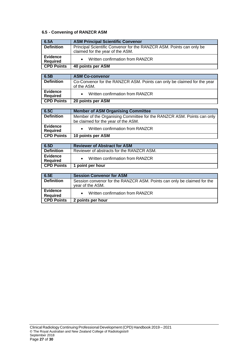## **6.5 - Convening of RANZCR ASM**

| 6.5A                               | <b>ASM Principal Scientific Convenor</b>                                                                 |
|------------------------------------|----------------------------------------------------------------------------------------------------------|
| <b>Definition</b>                  | Principal Scientific Convenor for the RANZCR ASM. Points can only be<br>claimed for the year of the ASM. |
| <b>Evidence</b><br><b>Required</b> | Written confirmation from RANZCR                                                                         |
| <b>CPD Points</b>                  | 40 points per ASM                                                                                        |

| 6.5B                        | <b>ASM Co-convenor</b>                                                                 |
|-----------------------------|----------------------------------------------------------------------------------------|
| <b>Definition</b>           | Co-Convenor for the RANZCR ASM. Points can only be claimed for the year<br>of the ASM. |
| Evidence<br><b>Required</b> | Written confirmation from RANZCR                                                       |
| <b>CPD Points</b>           | 20 points per ASM                                                                      |

| 6.5C                               | <b>Member of ASM Organising Committee</b>                              |
|------------------------------------|------------------------------------------------------------------------|
| <b>Definition</b>                  | Member of the Organising Committee for the RANZCR ASM. Points can only |
|                                    | be claimed for the year of the ASM.                                    |
| <b>Evidence</b><br><b>Required</b> | Written confirmation from RANZCR                                       |
| <b>CPD Points</b>                  | 10 points per ASM                                                      |

| 6.5D                        | <b>Reviewer of Abstract for ASM</b>       |
|-----------------------------|-------------------------------------------|
| <b>Definition</b>           | Reviewer of abstracts for the RANZCR ASM. |
| Evidence<br><b>Required</b> | Written confirmation from RANZCR          |
| <b>CPD Points</b>           | point per hour                            |

| 6.5E                               | <b>Session Convenor for ASM</b>                                                             |
|------------------------------------|---------------------------------------------------------------------------------------------|
| <b>Definition</b>                  | Session convenor for the RANZCR ASM. Points can only be claimed for the<br>year of the ASM. |
| <b>Evidence</b><br><b>Required</b> | Written confirmation from RANZCR                                                            |
| <b>CPD Points</b>                  | 2 points per hour                                                                           |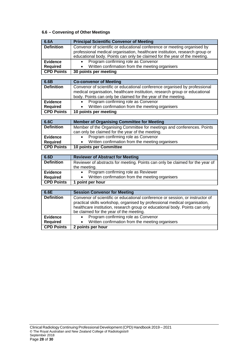## **6.6 – Convening of Other Meetings**

| 6.6A                                 | <b>Principal Scientific Convenor of Meeting</b>                                                                                                           |
|--------------------------------------|-----------------------------------------------------------------------------------------------------------------------------------------------------------|
| <b>Definition</b>                    | Convenor of scientific or educational conference or meeting organised by                                                                                  |
|                                      | professional medical organisation, healthcare institution, research group or<br>educational body. Points can only be claimed for the year of the meeting. |
| <b>Evidence</b>                      | Program confirming role as Convenor                                                                                                                       |
| <b>Required</b>                      | Written confirmation from the meeting organisers                                                                                                          |
| <b>CPD Points</b>                    | 30 points per meeting                                                                                                                                     |
|                                      |                                                                                                                                                           |
| 6.6B                                 | <b>Co-convenor of Meeting</b>                                                                                                                             |
| <b>Definition</b>                    | Convenor of scientific or educational conference organised by professional                                                                                |
|                                      | medical organisation, healthcare institution, research group or educational                                                                               |
|                                      | body. Points can only be claimed for the year of the meeting.                                                                                             |
| <b>Evidence</b>                      | Program confirming role as Convenor<br>$\bullet$                                                                                                          |
| <b>Required</b>                      | Written confirmation from the meeting organisers                                                                                                          |
| <b>CPD Points</b>                    | 10 points per meeting                                                                                                                                     |
|                                      |                                                                                                                                                           |
| 6.6C                                 | <b>Member of Organising Committee for Meeting</b>                                                                                                         |
| <b>Definition</b>                    | Member of the Organising Committee for meetings and conferences. Points                                                                                   |
|                                      | can only be claimed for the year of the meeting.                                                                                                          |
| <b>Evidence</b>                      | Program confirming role as Convenor                                                                                                                       |
| <b>Required</b><br><b>CPD Points</b> | Written confirmation from the meeting organisers<br>10 points per Committee                                                                               |
|                                      |                                                                                                                                                           |
| 6.6D                                 | <b>Reviewer of Abstract for Meeting</b>                                                                                                                   |
| <b>Definition</b>                    | Reviewer of abstracts for meeting. Points can only be claimed for the year of                                                                             |
|                                      | the meeting.                                                                                                                                              |
| <b>Evidence</b>                      | Program confirming role as Reviewer                                                                                                                       |
| <b>Required</b>                      | Written confirmation from the meeting organisers                                                                                                          |
| <b>CPD Points</b>                    | 1 point per hour                                                                                                                                          |
|                                      |                                                                                                                                                           |
| 6.6E                                 | <b>Session Convenor for Meeting</b>                                                                                                                       |
| <b>Definition</b>                    | Convenor of scientific or educational conference or session, or instructor of                                                                             |
|                                      | practical skills workshop, organised by professional medical organisation,                                                                                |
|                                      | healthcare institution, research group or educational body. Points can only<br>be claimed for the year of the meeting.                                    |
| <b>Evidence</b>                      | Program confirming role as Convenor<br>$\bullet$                                                                                                          |
| <b>Required</b>                      | Written confirmation from the meeting organisers<br>$\bullet$                                                                                             |
| <b>CPD Points</b>                    | 2 points per hour                                                                                                                                         |
|                                      |                                                                                                                                                           |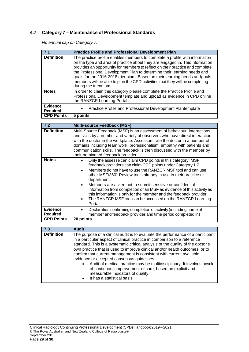## **4.7 Category 7 – Maintenance of Professional Standards**

*No annual cap on Category 7.*

| 7.1                                | <b>Practice Profile and Professional Development Plan</b>                                                                                                                                                                                                                                                                                                                                                                                                                                                      |
|------------------------------------|----------------------------------------------------------------------------------------------------------------------------------------------------------------------------------------------------------------------------------------------------------------------------------------------------------------------------------------------------------------------------------------------------------------------------------------------------------------------------------------------------------------|
| <b>Definition</b>                  | The practice profile enables members to complete a profile with information<br>on the type and area of practice about they are engaged in. This information<br>provides an opportunity for members to reflect on their practice and complete<br>the Professional Development Plan to determine their learning needs and<br>goals for the 2016-2018 triennium. Based on their learning needs and goals<br>members will be able to plan the CPD activities that they will be completing<br>during the triennium. |
| <b>Notes</b>                       | In order to claim this category please complete the Practice Profile and<br>Professional Development template and upload as evidence in CPD online<br>the RANZCR Learning Portal                                                                                                                                                                                                                                                                                                                               |
| <b>Evidence</b><br><b>Required</b> | Practice Profile and Professional Development Plantemplate<br>$\bullet$                                                                                                                                                                                                                                                                                                                                                                                                                                        |
| <b>CPD Points</b>                  | 5 points                                                                                                                                                                                                                                                                                                                                                                                                                                                                                                       |

| 7.2                                | <b>Multi-source Feedback (MSF)</b>                                                                                                                                                                                                                                                                                                                                                                                                                                                                                                                                                                    |
|------------------------------------|-------------------------------------------------------------------------------------------------------------------------------------------------------------------------------------------------------------------------------------------------------------------------------------------------------------------------------------------------------------------------------------------------------------------------------------------------------------------------------------------------------------------------------------------------------------------------------------------------------|
| <b>Definition</b>                  | Multi-Source Feedback (MSF) is an assessment of behaviour, interactions<br>and skills by a number and variety of observers who have direct interaction<br>with the doctor in the workplace. Assessors rate the doctor in a number of<br>domains including team work, professionalism, empathy with patients and<br>communication skills. The feedback is then discussed with the member by<br>their nominated feedback provider.                                                                                                                                                                      |
| <b>Notes</b>                       | Only the assesse can claim CPD points in this category, MSF<br>$\bullet$<br>feedback providers can claim CPD points under Category 1.7.<br>Members do not have to use the RANZCR MSF tool and can use<br>$\bullet$<br>other MSF/360° Review tools already in use in their practice or<br>department.<br>Members are asked not to submit sensitive or confidential<br>information from completion of an MSF as evidence of this activity as<br>this information is only for the member and the feedback provider.<br>The RANZCR MSF tool can be accessed on the RANZCR Learning<br>$\bullet$<br>Portal |
| <b>Evidence</b><br><b>Required</b> | Declaration confirming completion of activity (including name of<br>member and feedback provider and time period completed in)                                                                                                                                                                                                                                                                                                                                                                                                                                                                        |
| <b>CPD Points</b>                  | 20 points                                                                                                                                                                                                                                                                                                                                                                                                                                                                                                                                                                                             |

| 7.3               | <b>Audit</b>                                                                                                                                                                                                                                                                                                                                                                                                                                                                                                                                                                                                                                                               |
|-------------------|----------------------------------------------------------------------------------------------------------------------------------------------------------------------------------------------------------------------------------------------------------------------------------------------------------------------------------------------------------------------------------------------------------------------------------------------------------------------------------------------------------------------------------------------------------------------------------------------------------------------------------------------------------------------------|
| <b>Definition</b> | The purpose of a clinical audit is to evaluate the performance of a participant<br>in a particular aspect of clinical practice in comparison to a reference<br>standard. This is a systematic critical analysis of the quality of the doctor's<br>own practice that is used to improve clinical and/or health outcomes, or to<br>confirm that current management is consistent with current available<br>evidence or accepted consensus guidelines.<br>Audit of medical practice may be multidisciplinary. It involves acycle<br>$\bullet$<br>of continuous improvement of care, based on explicit and<br>measurable indicators of quality.<br>It has a statistical basis. |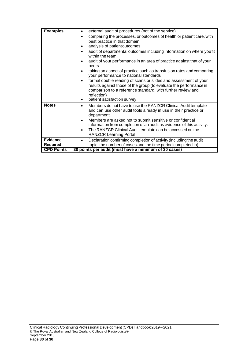| <b>Examples</b>   | external audit of procedures (not of the service)<br>comparing the processes, or outcomes of health or patient care, with<br>best practice in that domain<br>analysis of patient outcomes<br>audit of departmental outcomes including information on where you fit<br>within the team<br>audit of your performance in an area of practice against that of your<br>peers<br>taking an aspect of practice such as transfusion rates and comparing<br>your performance to national standards<br>formal double reading of scans or slides and assessment of your<br>$\bullet$<br>results against those of the group (to evaluate the performance in<br>comparison to a reference standard, with further review and<br>reflection) |
|-------------------|-------------------------------------------------------------------------------------------------------------------------------------------------------------------------------------------------------------------------------------------------------------------------------------------------------------------------------------------------------------------------------------------------------------------------------------------------------------------------------------------------------------------------------------------------------------------------------------------------------------------------------------------------------------------------------------------------------------------------------|
| <b>Notes</b>      | patient satisfaction survey<br>Members do not have to use the RANZCR Clinical Audit template<br>$\bullet$<br>and can use other audit tools already in use in their practice or<br>department.<br>Members are asked not to submit sensitive or confidential<br>$\bullet$<br>information from completion of an audit as evidence of this activity.<br>The RANZCR Clinical Audit template can be accessed on the<br>$\bullet$<br><b>RANZCR Learning Portal</b>                                                                                                                                                                                                                                                                   |
| <b>Evidence</b>   | Declaration confirming completion of activity (including the audit                                                                                                                                                                                                                                                                                                                                                                                                                                                                                                                                                                                                                                                            |
| <b>Required</b>   | topic, the number of cases and the time period completed in)                                                                                                                                                                                                                                                                                                                                                                                                                                                                                                                                                                                                                                                                  |
| <b>CPD Points</b> | 30 points per audit (must have a minimum of 30 cases)                                                                                                                                                                                                                                                                                                                                                                                                                                                                                                                                                                                                                                                                         |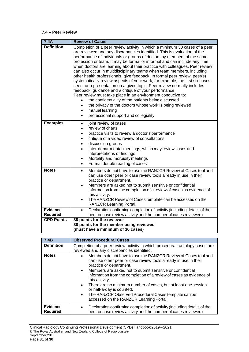#### **7.4 – Peer Review**

| 7.4A                      | <b>Review of Cases</b>                                                                                                                                                                                                                                                                                                                                                                                                                                                                                                                                                                                                                                                                                                                                                                                                                                                                                                                                                                                                                                            |
|---------------------------|-------------------------------------------------------------------------------------------------------------------------------------------------------------------------------------------------------------------------------------------------------------------------------------------------------------------------------------------------------------------------------------------------------------------------------------------------------------------------------------------------------------------------------------------------------------------------------------------------------------------------------------------------------------------------------------------------------------------------------------------------------------------------------------------------------------------------------------------------------------------------------------------------------------------------------------------------------------------------------------------------------------------------------------------------------------------|
| <b>Definition</b>         | Completion of a peer review activity in which a minimum 30 cases of a peer<br>are reviewed and any discrepancies identified. This is evaluation of the<br>performance of individuals or groups of doctors by members of the same<br>profession or team. It may be formal or informal and can include any time<br>when doctors are learning about their practice with colleagues. Peer review<br>can also occur in multidisciplinary teams when team members, including<br>other health professionals, give feedback. In formal peer review, peer(s)<br>systematically review aspects of your work, for example, the first six cases<br>seen, or a presentation on a given topic. Peer review normally includes<br>feedback, guidance and a critique of your performance.<br>Peer review must take place in an environment conducive to:<br>the confidentiality of the patients being discussed<br>$\bullet$<br>the privacy of the doctors whose work is being reviewed<br>٠<br>mutual learning<br>$\bullet$<br>professional support and collegiality<br>$\bullet$ |
| <b>Examples</b>           | joint review of cases<br>$\bullet$<br>review of charts<br>$\bullet$<br>practice visits to review a doctor's performance<br>$\bullet$<br>critique of a video review of consultations<br>$\bullet$<br>discussion groups<br>$\bullet$<br>inter-departmental meetings, which may review cases and<br>$\bullet$<br>interpretations of findings<br>Mortality and morbidity meetings<br>$\bullet$<br>Formal double reading of cases<br>$\bullet$                                                                                                                                                                                                                                                                                                                                                                                                                                                                                                                                                                                                                         |
| <b>Notes</b>              | Members do not have to use the RANZCR Review of Cases tool and<br>$\bullet$<br>can use other peer or case review tools already in use in their<br>practice or department.<br>Members are asked not to submit sensitive or confidential<br>$\bullet$<br>information from the completion of a review of cases as evidence of<br>this activity.<br>The RANZCR Review of Cases template can be accessed on the<br>$\bullet$<br><b>RANZCR Learning Portal.</b>                                                                                                                                                                                                                                                                                                                                                                                                                                                                                                                                                                                                         |
| <b>Evidence</b>           | Declaration confirming completion of activity (including details of the<br>$\bullet$                                                                                                                                                                                                                                                                                                                                                                                                                                                                                                                                                                                                                                                                                                                                                                                                                                                                                                                                                                              |
| <b>Required</b>           | peer or case review activity and the number of cases reviewed)                                                                                                                                                                                                                                                                                                                                                                                                                                                                                                                                                                                                                                                                                                                                                                                                                                                                                                                                                                                                    |
| <b>CPD Points</b>         | 30 points for the reviewer<br>30 points for the member being reviewed<br>(must have a minimum of 30 cases)                                                                                                                                                                                                                                                                                                                                                                                                                                                                                                                                                                                                                                                                                                                                                                                                                                                                                                                                                        |
|                           |                                                                                                                                                                                                                                                                                                                                                                                                                                                                                                                                                                                                                                                                                                                                                                                                                                                                                                                                                                                                                                                                   |
| 7.4B<br><b>Definition</b> | <b>Observed Procedural Cases</b>                                                                                                                                                                                                                                                                                                                                                                                                                                                                                                                                                                                                                                                                                                                                                                                                                                                                                                                                                                                                                                  |
|                           | Completion of a peer review activity in which procedural radiology cases are<br>reviewed and any discrepancies identified.                                                                                                                                                                                                                                                                                                                                                                                                                                                                                                                                                                                                                                                                                                                                                                                                                                                                                                                                        |
| <b>Notes</b>              | Members do not have to use the RANZCR Review of Cases tool and                                                                                                                                                                                                                                                                                                                                                                                                                                                                                                                                                                                                                                                                                                                                                                                                                                                                                                                                                                                                    |

|                                    | reviewed and any discrepancies identified.                                                                                                                                                                                                                                                                                                                                                                                                                                                                                              |
|------------------------------------|-----------------------------------------------------------------------------------------------------------------------------------------------------------------------------------------------------------------------------------------------------------------------------------------------------------------------------------------------------------------------------------------------------------------------------------------------------------------------------------------------------------------------------------------|
| <b>Notes</b>                       | Members do not have to use the RANZCR Review of Cases tool and<br>$\bullet$<br>can use other peer or case review tools already in use in their<br>practice or department.<br>• Members are asked not to submit sensitive or confidential<br>information from the completion of a review of cases as evidence of<br>this activity.<br>• There are no minimum number of cases, but at least one session<br>or half-a-day is counted.<br>• The RANZCR Observed Procedural Cases template can be<br>accessed on the RANZCR Learning Portal. |
| <b>Evidence</b><br><b>Required</b> | Declaration confirming completion of activity (including details of the<br>$\bullet$<br>peer or case review activity and the number of cases reviewed)                                                                                                                                                                                                                                                                                                                                                                                  |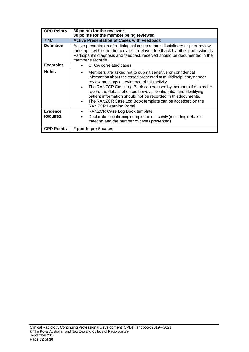| <b>CPD Points</b>                  | 30 points for the reviewer                                                                                                                                                                                                                                                                                                                                                                                                                                                                      |
|------------------------------------|-------------------------------------------------------------------------------------------------------------------------------------------------------------------------------------------------------------------------------------------------------------------------------------------------------------------------------------------------------------------------------------------------------------------------------------------------------------------------------------------------|
|                                    | 30 points for the member being reviewed                                                                                                                                                                                                                                                                                                                                                                                                                                                         |
| <b>7.4C</b>                        | <b>Active Presentation of Cases with Feedback</b>                                                                                                                                                                                                                                                                                                                                                                                                                                               |
| <b>Definition</b>                  | Active presentation of radiological cases at multidisciplinary or peer review<br>meetings, with either immediate or delayed feedback by other professionals.<br>Participant's diagnosis and feedback received should be documented in the<br>member's records.                                                                                                                                                                                                                                  |
| <b>Examples</b>                    | CTCA correlated cases                                                                                                                                                                                                                                                                                                                                                                                                                                                                           |
| <b>Notes</b>                       | Members are asked not to submit sensitive or confidential<br>information about the cases presented at multidisciplinary or peer<br>review meetings as evidence of this activity.<br>The RANZCR Case Log Book can be used by members if desired to<br>$\bullet$<br>record the details of cases however confidential and identifying<br>patient information should not be recorded in thisdocuments.<br>The RANZCR Case Log Book template can be accessed on the<br><b>RANZCR Learning Portal</b> |
| <b>Evidence</b><br><b>Required</b> | RANZCR Case Log Book template<br>$\bullet$<br>Declaration confirming completion of activity (including details of<br>meeting and the number of cases presented)                                                                                                                                                                                                                                                                                                                                 |
| <b>CPD Points</b>                  | 2 points per 5 cases                                                                                                                                                                                                                                                                                                                                                                                                                                                                            |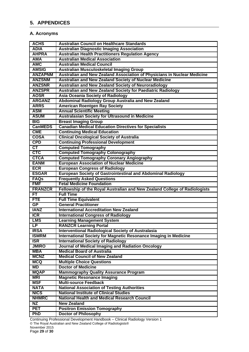## <span id="page-33-0"></span>**5. APPENDICES**

## **A. Acronyms**

| <b>ACHS</b>              | <b>Australian Council on Healthcare Standards</b>                          |
|--------------------------|----------------------------------------------------------------------------|
| <b>ADIA</b>              | <b>Australian Diagnostic Imaging Association</b>                           |
| <b>AHPRA</b>             | <b>Australian Health Practitioners Regulation Agency</b>                   |
| <b>AMA</b>               | <b>Australian Medical Association</b>                                      |
| <b>AMC</b>               | <b>Australian Medical Council</b>                                          |
| <b>AMSIG</b>             | <b>Australian Musculoskeletal Imaging Group</b>                            |
| <b>ANZAPNM</b>           | Australian and New Zealand Association of Physicians in Nuclear Medicine   |
| <b>ANZSNM</b>            | Australian and New Zealand Society of Nuclear Medicine                     |
| <b>ANZSNR</b>            | Australian and New Zealand Society of Neuroradiology                       |
| <b>ANZSPR</b>            | Australian and New Zealand Society for Paediatric Radiology                |
| <b>AOSR</b>              | <b>Asia Oceania Society of Radiology</b>                                   |
| <b>ARGANZ</b>            | Abdominal Radiology Group Australia and New Zealand                        |
| <b>ARRS</b>              | <b>American Roentgen Ray Society</b>                                       |
| <b>ASM</b>               | <b>Annual Scientific Meeting</b>                                           |
| <b>ASUM</b>              | Australasian Society for Ultrasound in Medicine                            |
| <b>BIG</b>               | <b>Breast Imaging Group</b>                                                |
| <b>CanMEDS</b>           | <b>Canadian Medical Education Directives for Specialists</b>               |
| <b>CME</b>               | <b>Continuing Medical Education</b>                                        |
| <b>COSA</b>              | <b>Clinical Oncological Society of Australia</b>                           |
| <b>CPD</b>               | <b>Continuing Professional Development</b>                                 |
| $\overline{\mathsf{CT}}$ | <b>Computed Tomography</b>                                                 |
| <b>CTC</b>               | <b>Computed Tomography Colonography</b>                                    |
| <b>CTCA</b>              | <b>Computed Tomography Coronary Angiography</b>                            |
| <b>EANM</b>              | <b>European Association of Nuclear Medicine</b>                            |
| <b>ECR</b>               | <b>European Congress of Radiology</b>                                      |
| <b>ESGAR</b>             | <b>European Society of Gastrointestinal and Abdominal Radiology</b>        |
| <b>FAQs</b>              | <b>Frequently Asked Questions</b>                                          |
| <b>FMF</b>               | <b>Fetal Medicine Foundation</b>                                           |
| <b>FRANZCR</b>           | Fellowship of the Royal Australian and New Zealand College of Radiologists |
| FT                       | <b>Full Time</b>                                                           |
| <b>FTE</b>               | <b>Full Time Equivalent</b>                                                |
| GP                       | <b>General Practitioner</b>                                                |
| <b>IANZ</b>              | <b>International Accreditation New Zealand</b>                             |
| <b>ICR</b>               | <b>International Congress of Radiology</b>                                 |
| <b>LMS</b>               | <b>Learning Management System</b>                                          |
| <b>LP</b>                | <b>RANZCR Learning Portal</b>                                              |
| <b>IRSA</b>              | <b>Interventional Radiological Society of Australasia</b>                  |
| <b>ISMRM</b>             | International Society for Magnetic Resonance Imaging in Medicine           |
| <b>ISR</b>               | <b>International Society of Radiology</b>                                  |
| <b>JMIRO</b>             | Journal of Medical Imaging and Radiation Oncology                          |
| <b>MBA</b>               | <b>Medical Board of Australia</b>                                          |
| <b>MCNZ</b>              | <b>Medical Council of New Zealand</b>                                      |
| <b>MCQ</b>               | <b>Multiple Choice Questions</b>                                           |
| MD                       | <b>Doctor of Medicine</b>                                                  |
| <b>MQAP</b>              | <b>Mammography Quality Assurance Program</b>                               |
| <b>MRI</b>               | <b>Magnetic Resonance Imaging</b>                                          |
| <b>MSF</b>               | <b>Multi-source Feedback</b>                                               |
| <b>NATA</b>              | <b>National Association of Testing Authorities</b>                         |
| <b>NICS</b>              | <b>National Institute of Clinical Studies</b>                              |
| <b>NHMRC</b>             | <b>National Health and Medical Research Council</b>                        |
| <b>NZ</b>                | <b>New Zealand</b>                                                         |
| <b>PET</b>               | <b>Positron Emission Tomography</b>                                        |
| <b>PhD</b>               | <b>Doctor of Philosophy</b>                                                |

Continuing Professional Development Handbook – Clinical Radiology Version 1 © The Royal Australian and New Zealand College of Radiologists® November 2015